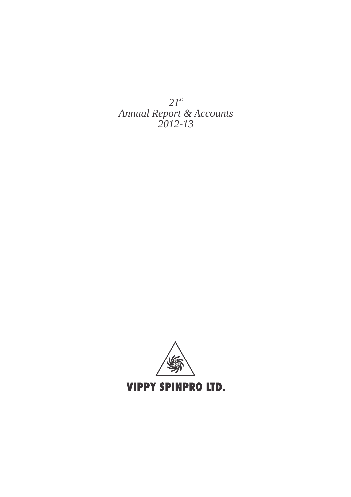$21^{st}$ *Annual Report & Accounts 2012-13*

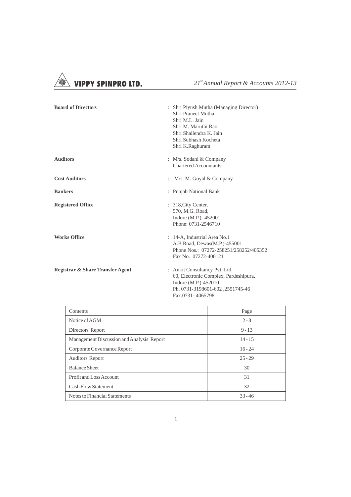

| <b>Board of Directors</b>                   | : Shri Piyush Mutha (Managing Director)<br>Shri Praneet Mutha<br>Shri M.L. Jain<br>Shri M. Maruthi Rao<br>Shri Shailendra K. Jain<br>Shri Subhash Kocheta<br>Shri K.Raghuram |
|---------------------------------------------|------------------------------------------------------------------------------------------------------------------------------------------------------------------------------|
| <b>Auditors</b>                             | : M/s. Sodani & Company<br><b>Chartered Accountants</b>                                                                                                                      |
| <b>Cost Auditors</b>                        | : M/s. M. Goyal & Company                                                                                                                                                    |
| <b>Bankers</b>                              | : Punjab National Bank                                                                                                                                                       |
| <b>Registered Office</b>                    | : 318, City Center,<br>570, M.G. Road,<br>Indore (M.P.) - 452001<br>Phone: 0731-2546710                                                                                      |
| <b>Works Office</b>                         | : 14-A, Industrial Area No.1<br>A.B Road, Dewas(M.P.)-455001<br>Phone Nos.: 07272-258251/258252/405352<br>Fax No. 07272-400121                                               |
| <b>Registrar &amp; Share Transfer Agent</b> | : Ankit Consultancy Pvt. Ltd.<br>60, Electronic Complex, Pardeshipura,<br>Indore (M.P.)-452010<br>Ph. 0731-3198601-602, 2551745-46<br>Fax.0731-4065798                       |

| Contents                                  | Page      |
|-------------------------------------------|-----------|
| Notice of AGM                             | $2 - 8$   |
| Directors' Report                         | $9 - 13$  |
| Management Discussion and Analysis Report | $14 - 15$ |
| Corporate Governance Report               | $16 - 24$ |
| <b>Auditors' Report</b>                   | $25 - 29$ |
| <b>Balance Sheet</b>                      | 30        |
| Profit and Loss Account                   | 31        |
| <b>Cash Flow Statement</b>                | 32        |
| <b>Notes to Financial Statements</b>      | $33 - 46$ |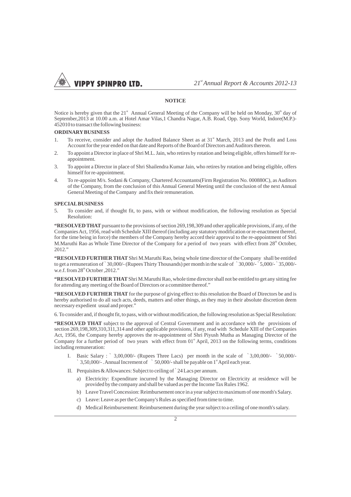

### **NOTICE**

Notice is hereby given that the 21<sup>st</sup> Annual General Meeting of the Company will be held on Monday, 30<sup>th</sup> day of September,2013 at 10.00 a.m. at Hotel Amar Vilas,1 Chandra Nagar, A.B. Road, Opp. Sony World, Indore(M.P.)- 452010 to transact the following business:

#### **ORDINARYBUSINESS**

- 1. To receive, consider and adopt the Audited Balance Sheet as at 31<sup><sup>st</sup> March, 2013 and the Profit and Loss</sup> Account for the year ended on that date and Reports of the Board of Directors and Auditors thereon.
- 2. To appoint a Director in place of Shri M.L. Jain, who retires by rotation and being eligible, offers himself for reappointment.
- 3. To appoint a Director in place of Shri Shailendra Kumar Jain, who retires by rotation and being eligible, offers himself for re-appointment.
- 4. To re-appoint M/s. Sodani & Company, Chartered Accountants(Firm Registration No. 000880C), as Auditors of the Company, from the conclusion of this Annual General Meeting until the conclusion of the next Annual General Meeting of the Company and fix their remuneration.

#### **SPECIALBUSINESS**

5. To consider and, if thought fit, to pass, with or without modification, the following resolution as Special Resolution:

**"RESOLVED THAT** pursuant to the provisions of section 269,198,309 and other applicable provisions, if any, of the Companies Act, 1956, read with Schedule XIII thereof (including any statutory modification or re-enactment thereof, for the time being in force) the members of the Company hereby accord their approval to the re-appointment of Shri M.Maruthi Rao as Whole Time Director of the Company for a period of two years with effect from 28<sup>th</sup> October, 2012."

**"RESOLVED FURTHER THAT**Shri M.Maruthi Rao, being whole time director of the Company shall be entitled to get a remuneration of `30,000/- (Rupees Thirty Thousands) per month in the scale of `30,000/- `5,000/- `35,000/w.e.f. from 28<sup>th</sup> October ,2012."

**"RESOLVED FURTHER THAT**Shri M.Maruthi Rao, whole time director shall not be entitled to get any sitting fee for attending any meeting of the Board of Directors or a committee thereof."

**"RESOLVED FURTHER THAT** for the purpose of giving effect to this resolution the Board of Directors be and is hereby authorised to do all such acts, deeds, matters and other things, as they may in their absolute discretion deem necessary expedient usual and proper."

6. To consider and, if thought fit, to pass, with or without modification, the following resolution as Special Resolution:

**"RESOLVED THAT** subject to the approval of Central Government and in accordance with the provisions of section 269,198,309,310,311,314 and other applicable provisions, if any, read with Schedule XIII of the Companies Act, 1956, the Company hereby approves the re-appointment of Shri Piyush Mutha as Managing Director of the Company for a further period of two years with effect from  $01<sup>s</sup>$  April, 2013 on the following terms, conditions including remuneration:

- I. Basic Salary :  $\degree$  3,00,000/- (Rupees Three Lacs) per month in the scale of  $\degree$  3,00,000/-  $\degree$  50,000/- $\hat{S}$  3,50,000/-. Annual Increment of  $\hat{S}$  50,000/-shall be payable on 1<sup>st</sup> April each year.
- II. Perquisites & Allowances: Subject to ceiling of `24 Lacs per annum.
	- a) Electricity: Expenditure incurred by the Managing Director on Electricity at residence will be provided by the company and shall be valued as per the Income Tax Rules 1962.
	- b) Leave Travel Concession: Reimbursement once in a year subject to maximum of one month's Salary.
	- c) Leave: Leave as per the Company's Rules as specified from time to time.
	- d) Medical Reimbursement: Reimbursement during the year subject to a ceiling of one month's salary.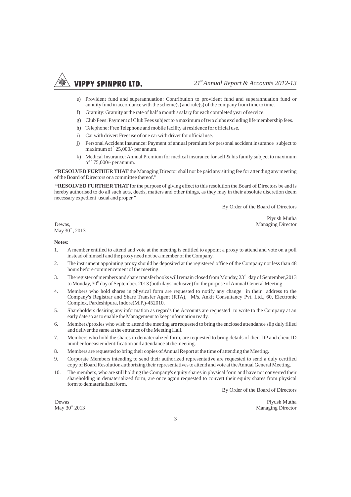

- e) Provident fund and superannuation: Contribution to provident fund and superannuation fund or annuity fund in accordance with the scheme(s) and rule(s) of the company from time to time.
- f) Gratuity: Gratuity at the rate of half a month's salary for each completed year of service.
- g) Club Fees: Payment of Club Fees subject to a maximum of two clubs excluding life membership fees.
- h) Telephone: Free Telephone and mobile facility at residence for official use.
- i) Car with driver: Free use of one car with driver for official use.
- j) Personal Accident Insurance: Payment of annual premium for personal accident insurance subject to maximum of `25,000/- per annum.
- k) Medical Insurance: Annual Premium for medical insurance for self & his family subject to maximum of `75,000/- per annum.

**"RESOLVED FURTHER THAT** the Managing Director shall not be paid any sitting fee for attending any meeting of the Board of Directors or a committee thereof."

**"RESOLVED FURTHER THAT** for the purpose of giving effect to this resolution the Board of Directors be and is hereby authorised to do all such acts, deeds, matters and other things, as they may in their absolute discretion deem necessary expedient usual and proper."

By Order of the Board of Directors

Piyush Mutha Dewas, Managing Director

 $May 30<sup>th</sup>, 2013$ 

# **Notes:**

- 1. A member entitled to attend and vote at the meeting is entitled to appoint a proxy to attend and vote on a poll instead of himself and the proxy need not be a member of the Company.
- 2. The instrument appointing proxy should be deposited at the registered office of the Company not less than 48 hours before commencement of the meeting.
- 3. The register of members and share transfer books will remain closed from Monday,  $23<sup>rd</sup>$  day of September, 2013 to Monday, 30<sup>th</sup> day of September, 2013 (both days inclusive) for the purpose of Annual General Meeting.
- 4. Members who hold shares in physical form are requested to notify any change in their address to the Company's Registrar and Share Transfer Agent (RTA), M/s. Ankit Consultancy Pvt. Ltd., 60, Electronic Complex, Pardeshipura, Indore(M.P.)-452010.
- 5. Shareholders desiring any information as regards the Accounts are requested to write to the Company at an early date so as to enable the Management to keep information ready.
- 6. Members/proxies who wish to attend the meeting are requested to bring the enclosed attendance slip duly filled and deliver the same at the entrance of the Meeting Hall.
- 7. Members who hold the shares in dematerialized form, are requested to bring details of their DP and client ID number for easier identification and attendance at the meeting.
- 8. Members are requested to bring their copies of Annual Report at the time of attending the Meeting.
- 9. Corporate Members intending to send their authorized representative are requested to send a duly certified copy of Board Resolution authorizing their representatives to attend and vote at the Annual General Meeting.
- 10. The members, who are still holding the Company's equity shares in physical form and have not converted their shareholding in dematerialized form, are once again requested to convert their equity shares from physical form to dematerialized form.

By Order of the Board of Directors

Dewas Piyush Mutha  $\text{May } 30^{\text{th}}$  2013 Managing Director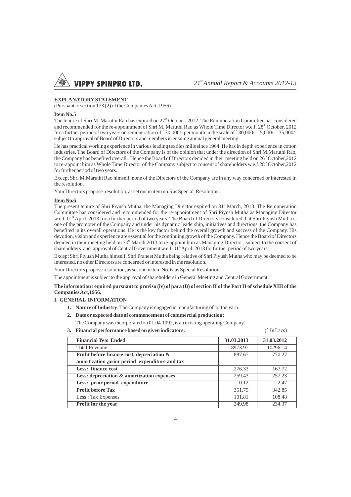

# **EXPLANATORYSTATEMENT**

(Pursuant to section 173 (2) of the Companies Act, 1956)

#### **Item No.5**

The tenure of Shri M. Maruthi Rao has expired on  $27<sup>th</sup>$  October, 2012. The Remuneration Committee has considered and recommended for the re-appointment of Shri M. Maruthi Rao as Whole Time Director w.e.f. 28<sup>th</sup> October, 2012 for a further period of two years on remuneration of `30,000/- per month in the scale of `30,000/- `5,000/- `35,000/subject to approval of Board of Directors and members in ensuing annual general meeting.

He has practical working experience in various leading textiles mills since 1964. He has in depth experience in cotton industries. The Board of Directors of the Company is of the opinion that under the direction of Shri M.Maruthi Rao, the Company has benefited overall. Hence the Board of Directors decided in their meeting held on  $26^{\circ}$  October, 2012 to re-appoint him as Whole Time Director of the Company subject to consent of shareholders w.e.f.28<sup>th</sup> October,2012 for further period of two years.

Except Shri M.Maruthi Rao himself, none of the Directors of the Company are in any way concerned or interested in the resolution.

Your Directors propose resolution, as set out in item no.5 as Special Resolution .

#### **Item No.6**

The present tenure of Shri Piyush Mutha, the Managing Director expired on 31<sup>st</sup> March, 2013. The Remuneration Committee has considered and recommended for the re-appointment of Shri Piyush Mutha as Managing Director w.e.f. 01<sup><sup>s</sup></sup> April, 2013 for a further period of two years. The Board of Directors considered that Shri Piyush Mutha is one of the promoter of the Company and under his dynamic leadership, initiatives and directions, the Company has benefited in its overall operations. He is the key factor behind the overall growth and success of the Company. His devotion, vision and experience are essential for the continuing growth of the Company. Hence the Board of Directors decided in their meeting held on 30<sup>th</sup> March,2013 to re-appoint him as Managing Director, subject to the consent of shareholders and approval of Central Government w.e.f. 01<sup>st</sup> April, 2013 for further period of two years .

Except Shri Piyush Mutha himself, Shri Praneet Mutha being relative of Shri Piyush Mutha who may be deemed to be interested, no other Directors are concerned or interested in the resolution.

Your Directors propose resolution, as set out in item No. 6 as Special Resolution.

The appointment is subject to the approval of shareholders in General Meeting and Central Government.

# **The information required pursuant to proviso (iv) of para (B) of section II of the Part II of schedule XIII of the Companies Act,1956.**

# **I. GENERAL INFORMATION**

- **1. Nature of Industry**: The Company is engaged in manufacturing of cotton yarn.
- **2. Date or expected date of commencement of commercial production:**

The Company was incorporated on 01.04.1992, is an existing operating Company.

**3. Financial performance based on given indicators:** (` In Lacs)

| $\sim$ measurement production measurement on the second second second second second second second second second second second second second second second second second second second second second second second second second |            | $\cdots$   |
|---------------------------------------------------------------------------------------------------------------------------------------------------------------------------------------------------------------------------------|------------|------------|
| <b>Financial Year Ended</b>                                                                                                                                                                                                     | 31.03.2013 | 31.03.2012 |
| <b>Total Revenue</b>                                                                                                                                                                                                            | 8973.97    | 10296.14   |
| Profit before finance cost, depreciation &                                                                                                                                                                                      | 887.67     | 770.27     |
| amortization, prior period expenditure and tax                                                                                                                                                                                  |            |            |
| Less: finance cost                                                                                                                                                                                                              | 276.33     | 167.72     |
| Less: depreciation & amortization expenses                                                                                                                                                                                      | 259.43     | 257.23     |
| Less: prior period expenditure                                                                                                                                                                                                  | 0.12       | 2.47       |
| <b>Profit before Tax</b>                                                                                                                                                                                                        | 351.79     | 342.85     |
| Less: Tax Expenses                                                                                                                                                                                                              | 101.81     | 108.48     |
| Profit for the year                                                                                                                                                                                                             | 249.98     | 234.37     |
|                                                                                                                                                                                                                                 |            |            |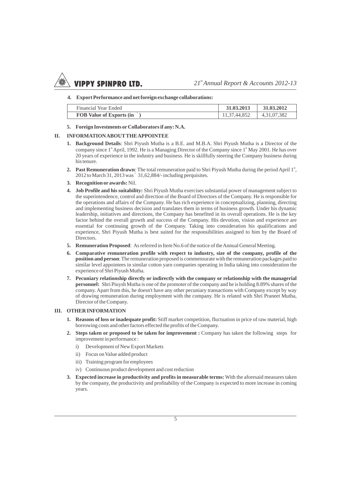

**4. Export Performance and net foreign exchange collaborations:** 

| Financial Year Ended            | 31.03.2013   | 31.03.2012  |
|---------------------------------|--------------|-------------|
| <b>FOB Value of Exports (in</b> | 11,37,44,852 | 4.31.07.382 |

**5. Foreign Investments orCollaborators if any: N.A.**

# **II. INFORMATION ABOUTTHE APPOINTEE**

- **1. Background Details**: Shri Piyush Mutha is a B.E. and M.B.A. Shri Piyush Mutha is a Director of the company since 1<sup>st</sup> April, 1992. He is a Managing Director of the Company since 1<sup>st</sup> May 2001. He has over 20 years of experience in the industry and business. He is skillfully steering the Company business during his tenure.
- 2. Past Remuneration drawn: The total remuneration paid to Shri Piyush Mutha during the period April 1<sup>st</sup>, 2012 to March 31, 2013 was ` 31,62,884/- including perquisites.
- **3. Recognition or awards:** Nil.
- **4. Job Profile and his suitability:** Shri Piyush Mutha exercises substantial power of management subject to the superintendence, control and direction of the Board of Directors of the Company. He is responsible for the operations and affairs of the Company. He has rich experience in conceptualizing, planning, directing and implementing business decision and translates them in terms of business growth. Under his dynamic leadership, initiatives and directions, the Company has benefited in its overall operations. He is the key factor behind the overall growth and success of the Company. His devotion, vision and experience are essential for continuing growth of the Company. Taking into consideration his qualifications and experience, Shri Piyush Mutha is best suited for the responsibilities assigned to him by the Board of **Directors**
- **5. Remuneration Proposed**: As referred in Item No.6 of the notice of the Annual General Meeting.
- **6. Comparative remuneration profile with respect to industry, size of the company, profile of the position and person**: The remuneration proposed is commensurate with the remuneration packages paid to similar level appointees in similar cotton yarn companies operating in India taking into consideration the experience of Shri Piyush Mutha.
- **7. Pecuniary relationship directly or indirectly with the company or relationship with the managerial personnel:** Shri Piuysh Mutha is one of the promoter of the company and he is holding 8.89% shares of the company. Apart from this, he doesn't have any other pecuniary transactions with Company except by way of drawing remuneration during employment with the company. He is related with Shri Praneet Mutha, Director of the Company.

#### **III. OTHER INFORMATION**

- **1. Reasons of loss or inadequate profit:** Stiff market competition, fluctuation in price of raw material, high borrowing costs and other factors effected the profits of the Company.
- **2. Steps taken or proposed to be taken for improvement :** Company has taken the following steps for improvement in performance :
	- i) Development of New Export Markets
	- ii) Focus on Value added product
	- iii) Training program for employees
	- iv) Continuous product development and cost reduction
- **3. Expected increase in productivity and profits in measurable terms:** With the aforesaid measures taken by the company, the productivity and profitability of the Company is expected to more increase in coming years.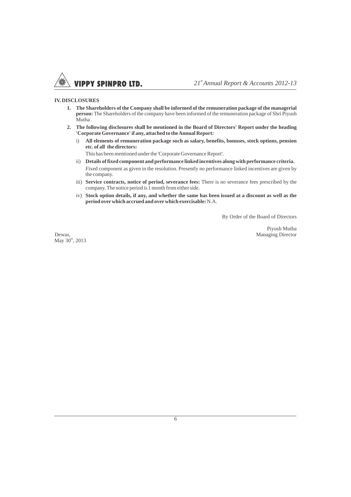

# **IV. DISCLOSURES**

- **1. The Shareholders of the Company shall be informed of the remuneration package of the managerial person:** The Shareholders of the company have been informed of the remuneration package of Shri Piyush Mutha .
- **2. The following disclosures shall be mentioned in the Board of Directors' Report under the heading 'Corporate Governance' if any, attached to the Annual Report:**
	- i) **All elements of remuneration package such as salary, benefits, bonuses, stock options, pension etc. of all the directors:**
		- This has been mentioned under the 'Corporate Governance Report'.
	- ii) **Details of fixed component and performance linked incentives along with performance criteria.** Fixed component as given in the resolution. Presently no performance linked incentives are given by the company.
	- iii) **Service contracts, notice of period, severance fees:** There is no severance fees prescribed by the company. The notice period is 1 month from either side.
	- iv) **Stock option details, if any, and whether the same has been issued at a discount as well as the period overwhich accrued and overwhich exercisable:** N.A.

By Order of the Board of Directors

May 30<sup>th</sup>, 2013

Piyush Mutha Dewas, Managing Director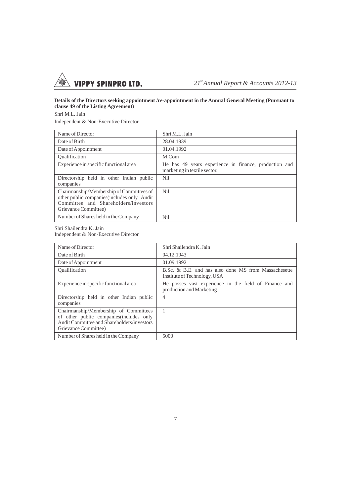

### **Details of the Directors seeking appointment /re-appointment in the Annual General Meeting (Pursuant to clause 49 of the Listing Agreement)**

Shri M.L. Jain

Independent & Non-Executive Director

| Name of Director                                                                                                                                        | Shri M.L. Jain                                                                        |
|---------------------------------------------------------------------------------------------------------------------------------------------------------|---------------------------------------------------------------------------------------|
| Date of Birth                                                                                                                                           | 28.04.1939                                                                            |
| Date of Appointment                                                                                                                                     | 01.04.1992                                                                            |
| <b>Qualification</b>                                                                                                                                    | M.Com                                                                                 |
| Experience in specific functional area                                                                                                                  | He has 49 years experience in finance, production and<br>marketing in textile sector. |
| Directorship held in other Indian public<br>companies                                                                                                   | Nil                                                                                   |
| Chairmanship/Membership of Committees of<br>other public companies (includes only Audit<br>Committee and Shareholders/investors<br>Grievance Committee) | Nil                                                                                   |
| Number of Shares held in the Company                                                                                                                    | Nil                                                                                   |

Shri Shailendra K. Jain

Independent & Non-Executive Director

| Name of Director                                                                                                                                        | Shri Shailendra K. Jain                                                              |
|---------------------------------------------------------------------------------------------------------------------------------------------------------|--------------------------------------------------------------------------------------|
| Date of Birth                                                                                                                                           | 04.12.1943                                                                           |
| Date of Appointment                                                                                                                                     | 01.09.1992                                                                           |
| <b>Qualification</b>                                                                                                                                    | B.Sc. & B.E. and has also done MS from Massachesette<br>Institute of Technology, USA |
| Experience in specific functional area                                                                                                                  | He posses vast experience in the field of Finance and<br>production and Marketing    |
| Directorship held in other Indian public<br>companies                                                                                                   | $\overline{4}$                                                                       |
| Chairmanship/Membership of Committees<br>of other public companies (includes only<br>Audit Committee and Shareholders/investors<br>Grievance Committee) | $\overline{1}$                                                                       |
| Number of Shares held in the Company                                                                                                                    | 5000                                                                                 |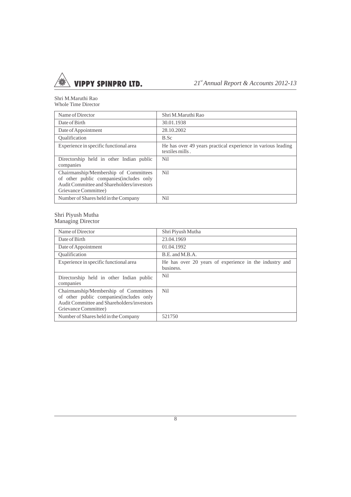

### Shri M.Maruthi Rao Whole Time Director

Name of Director Date of Birth Date of Appointment Qualification Experience in specific functional area Directorship held in other Indian public companies Chairmanship/Membership of Committees of other public companies(includes only Audit Committee and Shareholders/investors Grievance Committee) Number of Shares held in the Company Shri M.Maruthi Rao 30.01.1938 28.10.2002 B.Sc He has over 49 years practical experience in various leading textiles mills . Nil Nil Nil

# Shri Piyush Mutha

Managing Director

| Name of Director                                                                                                                                        | Shri Piyush Mutha                                                   |
|---------------------------------------------------------------------------------------------------------------------------------------------------------|---------------------------------------------------------------------|
| Date of Birth                                                                                                                                           | 23.04.1969                                                          |
| Date of Appointment                                                                                                                                     | 01.04.1992                                                          |
| <b>Qualification</b>                                                                                                                                    | B.E. and M.B.A.                                                     |
| Experience in specific functional area                                                                                                                  | He has over 20 years of experience in the industry and<br>business. |
| Directorship held in other Indian public<br>companies                                                                                                   | Nil                                                                 |
| Chairmanship/Membership of Committees<br>of other public companies (includes only<br>Audit Committee and Shareholders/investors<br>Grievance Committee) | Nil                                                                 |
| Number of Shares held in the Company                                                                                                                    | 521750                                                              |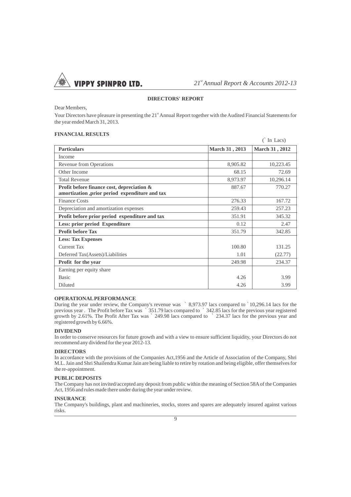

# **DIRECTORS' REPORT**

Dear Members,

Your Directors have pleasure in presenting the 21<sup>st</sup> Annual Report together with the Audited Financial Statements for the year ended March 31, 2013.

#### **FINANCIAL RESULTS**

|                                                                                              |                | $\int$ In Lacs) |
|----------------------------------------------------------------------------------------------|----------------|-----------------|
| <b>Particulars</b>                                                                           | March 31, 2013 | March 31, 2012  |
| Income                                                                                       |                |                 |
| <b>Revenue from Operations</b>                                                               | 8,905.82       | 10,223.45       |
| Other Income                                                                                 | 68.15          | 72.69           |
| <b>Total Revenue</b>                                                                         | 8,973.97       | 10,296.14       |
| Profit before finance cost, depreciation &<br>amortization ,prior period expenditure and tax | 887.67         | 770.27          |
| <b>Finance Costs</b>                                                                         | 276.33         | 167.72          |
| Depreciation and amortization expenses                                                       | 259.43         | 257.23          |
| Profit before prior period expenditure and tax                                               | 351.91         | 345.32          |
| Less: prior period Expenditure                                                               | 0.12           | 2.47            |
| <b>Profit before Tax</b>                                                                     | 351.79         | 342.85          |
| <b>Less: Tax Expenses</b>                                                                    |                |                 |
| Current Tax                                                                                  | 100.80         | 131.25          |
| Deferred Tax (Assets)/Liabilities                                                            | 1.01           | (22.77)         |
| <b>Profit for the year</b>                                                                   | 249.98         | 234.37          |
| Earning per equity share                                                                     |                |                 |
| <b>Basic</b>                                                                                 | 4.26           | 3.99            |
| Diluted                                                                                      | 4.26           | 3.99            |

### **OPERATIONALPERFORMANCE**

During the year under review, the Company's revenue was ` 8,973.97 lacs compared to `10,296.14 lacs for the previous year . The Profit before Tax was ` 351.79 lacs compared to ` 342.85 lacs for the previous year registered growth by 2.61%. The Profit After Tax was ` 249.98 lacs compared to ` 234.37 lacs for the previous year and registered growth by 6.66%.

#### **DIVIDEND**

In order to conserve resources for future growth and with a view to ensure sufficient liquidity, your Directors do not recommend any dividend for the year 2012-13.

### **DIRECTORS**

In accordance with the provisions of the Companies Act,1956 and the Article of Association of the Company, Shri M.L. Jain and Shri Shailendra Kumar Jain are being liable to retire by rotation and being eligible, offer themselves for the re-appointment.

# **PUBLIC DEPOSITS**

The Company has not invited/accepted any deposit from public within the meaning of Section 58Aof the Companies Act, 1956 and rules made there under during the year under review.

### **INSURANCE**

The Company's buildings, plant and machineries, stocks, stores and spares are adequately insured against various risks.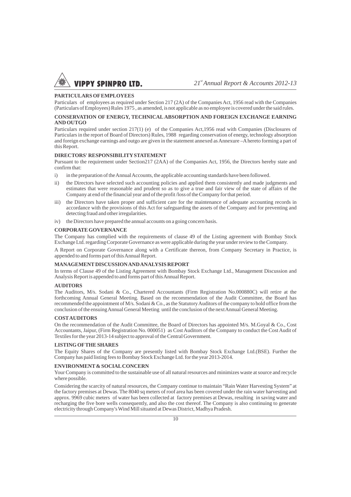

# **PARTICULARS OFEMPLOYEES**

Particulars of employees as required under Section 217 (2A) of the Companies Act, 1956 read with the Companies (Particulars of Employees) Rules 1975 , as amended, is not applicable as no employee is covered under the said rules.

#### **CONSERVATION OF ENERGY, TECHNICAL ABSORPTION AND FOREIGN EXCHANGE EARNING AND OUTGO**

Particulars required under section 217(1) (e) of the Companies Act,1956 read with Companies (Disclosures of Particulars in the report of Board of Directors) Rules, 1988 regarding conservation of energy, technology absorption and foreign exchange earnings and outgo are given in the statement annexed as Annexure –Ahereto forming a part of this Report.

# **DIRECTORS' RESPONSIBILITYSTATEMENT**

Pursuant to the requirement under Section217 (2AA) of the Companies Act, 1956, the Directors hereby state and confirm that:

- i) in the preparation of the Annual Accounts, the applicable accounting standards have been followed.
- ii) the Directors have selected such accounting policies and applied them consistently and made judgments and estimates that were reasonable and prudent so as to give a true and fair view of the state of affairs of the Company at end of the financial year and of the profit /loss of the Company for that period.
- iii) the Directors have taken proper and sufficient care for the maintenance of adequate accounting records in accordance with the provisions of this Act for safeguarding the assets of the Company and for preventing and detecting fraud and other irregularities.
- iv) the Directors have prepared the annual accounts on a going concern basis.

# **CORPORATE GOVERNANCE**

The Company has complied with the requirements of clause 49 of the Listing agreement with Bombay Stock Exchange Ltd. regarding Corporate Governance as were applicable during the year under review to the Company.

A Report on Corporate Governance along with a Certificate thereon, from Company Secretary in Practice, is appended to and forms part of this Annual Report.

#### **MANAGEMENTDISCUSSION AND ANALYSIS REPORT**

In terms of Clause 49 of the Listing Agreement with Bombay Stock Exchange Ltd., Management Discussion and Analysis Report is appended to and forms part of this Annual Report.

### **AUDITORS**

The Auditors, M/s. Sodani & Co., Chartered Accountants (Firm Registration No.000880C) will retire at the forthcoming Annual General Meeting. Based on the recommendation of the Audit Committee, the Board has recommended the appointment of M/s. Sodani & Co., as the Statutory Auditors of the company to hold office from the conclusion of the ensuing Annual General Meeting until the conclusion of the next Annual General Meeting.

#### **COSTAUDITORS**

On the recommendation of the Audit Committee, the Board of Directors has appointed M/s. M.Goyal & Co., Cost Accountants, Jaipur, (Firm Registration No. 000051) as Cost Auditors of the Company to conduct the Cost Audit of Textiles for the year 2013-14 subject to approval of the Central Government.

#### **LISTING OFTHE SHARES**

The Equity Shares of the Company are presently listed with Bombay Stock Exchange Ltd.(BSE). Further the Company has paid listing fees to Bombay Stock Exchange Ltd. for the year 2013-2014.

### **ENVIRONMENT& SOCIALCONCERN**

Your Company is committed to the sustainable use of all natural resources and minimizes waste at source and recycle where possible.

Considering the scarcity of natural resources, the Company continue to maintain "Rain Water Harvesting System" at the factory premises at Dewas. The 8040 sq meters of roof area has been covered under the rain water harvesting and approx. 9969 cubic meters of water has been collected at factory premises at Dewas, resulting in saving water and recharging the five bore wells consequently, and also the cost thereof. The Company is also continuing to generate electricity through Company's Wind Mill situated at Dewas District, Madhya Pradesh.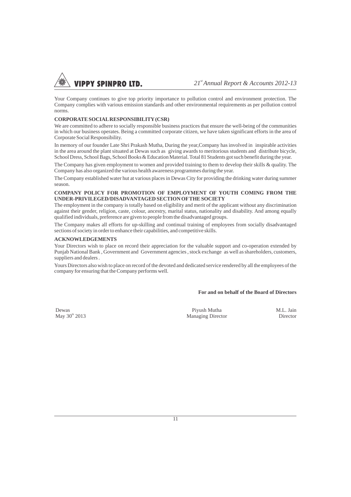

Your Company continues to give top priority importance to pollution control and environment protection. The Company complies with various emission standards and other environmental requirements as per pollution control norms.

# **CORPORATE SOCIALRESPONSIBILITY(CSR)**

We are committed to adhere to socially responsible business practices that ensure the well-being of the communities in which our business operates. Being a committed corporate citizen, we have taken significant efforts in the area of Corporate Social Responsibility.

In memory of our founder Late Shri Prakash Mutha, During the year,Company has involved in inspirable activities in the area around the plant situated at Dewas such as giving awards to meritorious students and distribute bicycle, School Dress, School Bags, School Books & Education Material. Total 81 Students got such benefit during the year.

The Company has given employment to women and provided training to them to develop their skills & quality. The Company has also organized the various health awareness programmes during the year.

The Company established water hut at various places in Dewas City for providing the drinking water during summer season.

# **COMPANY POLICY FOR PROMOTION OF EMPLOYMENT OF YOUTH COMING FROM THE UNDER-PRIVILEGED/DISADVANTAGED SECTION OFTHE SOCIETY**

The employment in the company is totally based on eligibility and merit of the applicant without any discrimination against their gender, religion, caste, colour, ancestry, marital status, nationality and disability. And among equally qualified individuals, preference are given to people from the disadvantaged groups.

The Company makes all efforts for up-skilling and continual training of employees from socially disadvantaged sections of society in order to enhance their capabilities, and competitive skills.

#### **ACKNOWLEDGEMENTS**

Your Directors wish to place on record their appreciation for the valuable support and co-operation extended by Punjab National Bank , Government and Government agencies , stock exchange as well as shareholders, customers, suppliers and dealers .

Yours Directors also wish to place on record of the devoted and dedicated service rendered by all the employees of the company for ensuring that the Company performs well.

#### **For and on behalf of the Board of Directors**

Dewas Piyush Mutha M.L. Jain May 30<sup>th</sup> 2013 Managing Director Director Director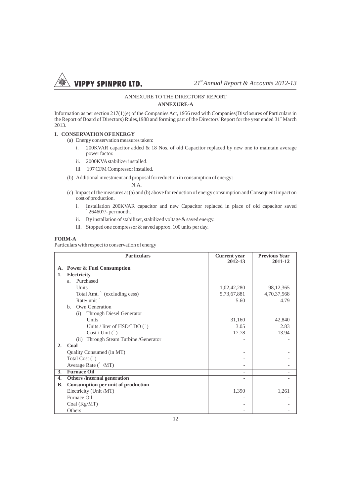

# ANNEXURE TO THE DIRECTORS' REPORT **ANNEXURE-A**

Information as per section 217(1)(e) of the Companies Act, 1956 read with Companies(Disclosures of Particulars in the Report of Board of Directors) Rules,1988 and forming part of the Directors' Report for the year ended 31<sup>st</sup> March 2013.

# **I. CONSERVATION OFENERGY**

- (a) Energy conservation measures taken:
	- i. 200KVAR capacitor added & 18 Nos. of old Capacitor replaced by new one to maintain average power factor.
	- ii. 2000KVAstabilizer installed.
	- iii 197 CFM Compressor installed.
- (b) Additional investment and proposal for reduction in consumption of energy:

N.A.

- (c) Impact of the measures at (a) and (b) above for reduction of energy consumption and Consequent impact on cost of production.
	- i. Installation 200KVAR capacitor and new Capacitor replaced in place of old capacitor saved `264607/- per month.
	- ii. By installation of stabilizer, stabilized voltage & saved energy.
	- iii. Stopped one compressor & saved approx. 100 units per day.

### **FORM-A**

Particulars with respect to conservation of energy

|                  | <b>Particulars</b>                        | <b>Current</b> year<br>2012-13 | <b>Previous Year</b><br>2011-12 |
|------------------|-------------------------------------------|--------------------------------|---------------------------------|
| A.               | <b>Power &amp; Fuel Consumption</b>       |                                |                                 |
| 1.               | <b>Electricity</b>                        |                                |                                 |
|                  | Purchased<br>a.                           |                                |                                 |
|                  | Units                                     | 1,02,42,280                    | 98,12,365                       |
|                  | Total Amt. ` (excluding cess)             | 5,73,67,881                    | 4,70,37,568                     |
|                  | Rate/unit                                 | 5.60                           | 4.79                            |
|                  | Own Generation<br>$h_{-}$                 |                                |                                 |
|                  | Through Diesel Generator<br>(i)           |                                |                                 |
|                  | Units                                     | 31,160                         | 42,840                          |
|                  | Units / liter of $HSD/LDO($               | 3.05                           | 2.83                            |
|                  | Cost / Unit ( )                           | 17.78                          | 13.94                           |
|                  | Through Steam Turbine / Generator<br>(ii) |                                |                                 |
| 2.               | Coal                                      |                                |                                 |
|                  | Quality Consumed (in MT)                  |                                |                                 |
|                  | Total Cost $(\dot{\ })$                   |                                |                                 |
|                  | Average Rate (`/MT)                       |                                |                                 |
| 3.               | <b>Furnace Oil</b>                        |                                |                                 |
| $\overline{4}$ . | <b>Others /internal generation</b>        |                                |                                 |
| В.               | Consumption per unit of production        |                                |                                 |
|                  | Electricity (Unit /MT)                    | 1,390                          | 1,261                           |
|                  | Furnace Oil                               |                                |                                 |
|                  | Coal (Kg/MT)                              |                                |                                 |
|                  | Others                                    |                                |                                 |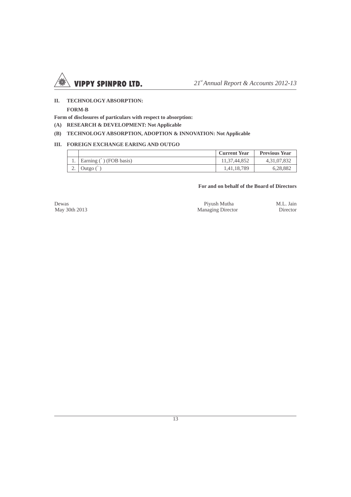

# **II. TECHNOLOGY ABSORPTION:**

# **FORM-B**

**Form of disclosures of particulars with respect to absorption:**

- **(A) RESEARCH & DEVELOPMENT: Not Applicable**
- **(B) TECHNOLOGY ABSORPTION, ADOPTION & INNOVATION: Not Applicable**

# **III. FOREIGN EXCHANGE EARING AND OUTGO**

|            |                         | <b>Current Year</b> | <b>Previous Year</b> |
|------------|-------------------------|---------------------|----------------------|
|            | Earning (`) (FOB basis) | 11.37.44.852        | 4,31,07,832          |
| <u>، ،</u> | Outgo (                 | 1,41,18,789         | 6,28,882             |

# **For and on behalf of the Board of Directors**

Dewas Piyush Mutha M.L. Jain Managing Director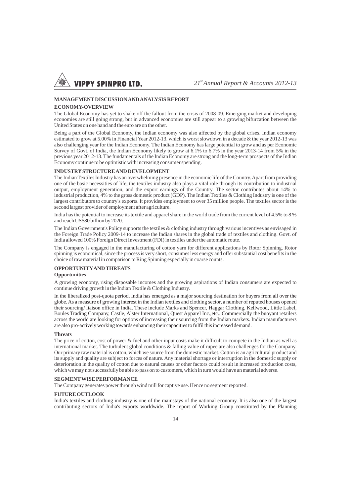

#### **MANAGEMENTDISCUSSION AND ANALYSIS REPORT**

#### **ECONOMY-OVERVIEW**

The Global Economy has yet to shake off the fallout from the crisis of 2008-09. Emerging market and developing economies are still going strong, but in advanced economies are still appear to a growing bifurcation between the United States on one hand and the euro are on the other.

Being a part of the Global Economy, the Indian economy was also affected by the global crises. Indian economy estimated to grow at 5.00% in Financial Year 2012-13. which is worst slowdown in a decade & the year 2012-13 was also challenging year for the Indian Economy. The Indian Economy has large potential to grow and as per Economic Survey of Govt. of India, the Indian Economy likely to grow at 6.1% to 6.7% in the year 2013-14 from 5% in the previous year 2012-13. The fundamentals of the Indian Economy are strong and the long-term prospects of the Indian Economy continue to be optimistic with increasing consumer spending.

#### **INDUSTRYSTRUCTURE AND DEVELOPMENT**

The Indian Textiles Industry has an overwhelming presence in the economic life of the Country. Apart from providing one of the basic necessities of life, the textiles industry also plays a vital role through its contribution to industrial output, employment generation, and the export earnings of the Country. The sector contributes about 14% to industrial production, 4% to the gross domestic product (GDP). The Indian Textiles & Clothing Industry is one of the largest contributors to country's exports. It provides employment to over 35 million people. The textiles sector is the second largest provider of employment after agriculture.

India has the potential to increase its textile and apparel share in the world trade from the current level of 4.5% to 8 % and reach US\$80 billion by 2020.

The Indian Government's Policy supports the textiles & clothing industry through various incentives as envisaged in the Foreign Trade Policy 2009-14 to increase the Indian shares in the global trade of textiles and clothing. Govt. of India allowed 100% Foreign Direct Investment (FDI) in textiles under the automatic route.

The Company is engaged in the manufacturing of cotton yarn for different applications by Rotor Spinning. Rotor spinning is economical, since the process is very short, consumes less energy and offer substantial cost benefits in the choice of raw material in comparison to Ring Spinning especially in coarse counts.

# **OPPORTUNITYAND THREATS**

#### **Opportunities**

A growing economy, rising disposable incomes and the growing aspirations of Indian consumers are expected to continue driving growth in the Indian Textile & Clothing Industry.

In the liberalized post-quota period, India has emerged as a major sourcing destination for buyers from all over the globe. As a measure of growing interest in the Indian textiles and clothing sector, a number of reputed houses opened their sourcing/ liaison office in India. These include Marks and Spencer, Haggar Clothing, Kellwood, Little Label, Boules Trading Company, Castle, Alster International, Quest Apparel Inc.,etc.. Commercially the buoyant retailers across the world are looking for options of increasing their sourcing from the Indian markets. Indian manufacturers are also pro-actively working towards enhancing their capacities to fulfil this increased demand.

#### **Threats**

The price of cotton, cost of power & fuel and other input costs make it difficult to compete in the Indian as well as international market. The turbulent global conditions & falling value of rupee are also challenges for the Company. Our primary raw material is cotton, which we source from the domestic market. Cotton is an agricultural product and its supply and quality are subject to forces of nature. Any material shortage or interruption in the domestic supply or deterioration in the quality of cotton due to natural causes or other factors could result in increased production costs, which we may not successfully be able to pass on to customers, which in turn would have an material adverse.

### **SEGMENTWISE PERFORMANCE**

The Company generates power through wind mill for captive use. Hence no segment reported.

#### **FUTURE OUTLOOK**

India's textiles and clothing industry is one of the mainstays of the national economy. It is also one of the largest contributing sectors of India's exports worldwide. The report of Working Group constituted by the Planning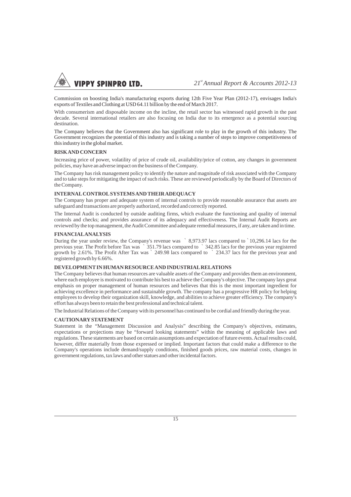

Commission on boosting India's manufacturing exports during 12th Five Year Plan (2012-17), envisages India's exports of Textiles and Clothing at USD 64.11 billion by the end of March 2017.

With consumerism and disposable income on the incline, the retail sector has witnessed rapid growth in the past decade. Several international retailers are also focusing on India due to its emergence as a potential sourcing destination.

The Company believes that the Government also has significant role to play in the growth of this industry. The Government recognizes the potential of this industry and is taking a number of steps to improve competitiveness of this industry in the global market.

# **RISK AND CONCERN**

Increasing price of power, volatility of price of crude oil, availability/price of cotton, any changes in government policies, may have an adverse impact on the business of the Company.

The Company has risk management policy to identify the nature and magnitude of risk associated with the Company and to take steps for mitigating the impact of such risks. These are reviewed periodically by the Board of Directors of the Company.

# **INTERNALCONTROLSYSTEMS AND THEIR ADEQUACY**

The Company has proper and adequate system of internal controls to provide reasonable assurance that assets are safeguard and transactions are properly authorized, recorded and correctly reported.

The Internal Audit is conducted by outside auditing firms, which evaluate the functioning and quality of internal controls and checks; and provides assurance of its adequacy and effectiveness. The Internal Audit Reports are reviewed by the top management, the Audit Committee and adequate remedial measures, if any, are taken and in time.

# **FINANCIALANALYSIS**

During the year under review, the Company's revenue was ` 8,973.97 lacs compared to `10,296.14 lacs for the previous year. The Profit before Tax was ` 351.79 lacs compared to ` 342.85 lacs for the previous year registered growth by 2.61%. The Profit After Tax was ` 249.98 lacs compared to ` 234.37 lacs for the previous year and registered growth by 6.66%.

#### **DEVELOPMENTIN HUMAN RESOURCE AND INDUSTRIALRELATIONS**

The Company believes that human resources are valuable assets of the Company and provides them an environment, where each employee is motivated to contribute his best to achieve the Company's objective. The company lays great emphasis on proper management of human resources and believes that this is the most important ingredient for achieving excellence in performance and sustainable growth. The company has a progressive HR policy for helping employees to develop their organization skill, knowledge, and abilities to achieve greater efficiency. The company's effort has always been to retain the best professional and technical talent.

The Industrial Relations of the Company with its personnel has continued to be cordial and friendly during the year.

# **CAUTIONARYSTATEMENT**

Statement in the "Management Discussion and Analysis" describing the Company's objectives, estimates, expectations or projections may be "forward looking statements" within the meaning of applicable laws and regulations. These statements are based on certain assumptions and expectation of future events. Actual results could, however, differ materially from those expressed or implied. Important factors that could make a difference to the Company's operations include demand/supply conditions, finished goods prices, raw material costs, changes in government regulations, tax laws and other statues and other incidental factors.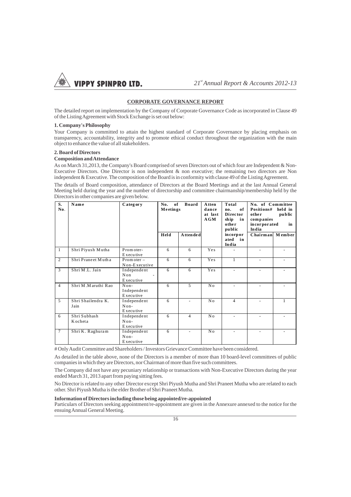

# **CORPORATE GOVERNANCE REPORT**

The detailed report on implementation by the Company of Corporate Governance Code as incorporated in Clause 49 of the Listing Agreement with Stock Exchange is set out below:

#### **1. Company's Philosophy**

Your Company is committed to attain the highest standard of Corporate Governance by placing emphasis on transparency, accountability, integrity and to promote ethical conduct throughout the organization with the main object to enhance the value of all stakeholders.

#### **2. Board of Directors**

#### **Composition and Attendance**

As on March 31,2013, the Company's Board comprised of seven Directors out of which four are Independent & Non-Executive Directors. One Director is non independent & non executive; the remaining two directors are Non independent & Executive. The composition of the Board is in conformity with clause 49 of the Listing Agreement.

The details of Board composition, attendance of Directors at the Board Meetings and at the last Annual General Meeting held during the year and the number of directorship and committee chairmanship/membership held by the Directors in other companies are given below.

| S.<br>No.       | Name                       | Category                             | of<br><b>Board</b><br>No.<br>Meetings |                | A tten<br>dance<br>at last<br>A G M | Total<br>of<br>no.<br><b>Director</b><br>ship<br>in<br>other<br>public | No. of Committee<br>Positions#<br>other<br>companies<br>incorporated<br>India | held in<br>pu b lic<br>in |
|-----------------|----------------------------|--------------------------------------|---------------------------------------|----------------|-------------------------------------|------------------------------------------------------------------------|-------------------------------------------------------------------------------|---------------------------|
|                 |                            |                                      | Held                                  | A ttended      |                                     | incorpor<br>ated<br>$\mathbf{in}$<br>India                             | Chairman Member                                                               |                           |
| $\mathbf{1}$    | Shri Piyush Mutha          | Promoter-<br>E xecu tive             | 6                                     | 6              | Yes                                 |                                                                        |                                                                               |                           |
| 2               | Shri Praneet Mutha         | $Promoter -$<br>Non-Executive        | 6                                     | 6              | <b>Yes</b>                          | $\mathbf{1}$                                                           | $\blacksquare$                                                                |                           |
| 3               | Shri M.L. Jain             | Independent<br>Non<br>E xecu tive    | 6                                     | 6              | Yes                                 |                                                                        |                                                                               |                           |
| $\overline{4}$  | Shri M.Maruthi Rao         | $Non-$<br>Independent<br>E xecu tive | 6                                     | 5              | N <sub>0</sub>                      |                                                                        |                                                                               |                           |
| $\overline{5}$  | Shri Shailendra K.<br>Jain | Independent<br>$Non-$<br>Executive   | 6                                     |                | N <sub>o</sub>                      | $\overline{4}$                                                         |                                                                               |                           |
| 6               | Shri Subhash<br>Kocheta    | Independent<br>$Non-$<br>E xecu tive | 6                                     | $\overline{4}$ | N <sub>o</sub>                      |                                                                        |                                                                               |                           |
| $7\phantom{.0}$ | Shri K. Raghuram           | Independent<br>Non-<br>Executive     | 6                                     |                | N o                                 |                                                                        |                                                                               |                           |

# Only Audit Committee and Shareholders / Investors Grievance Committee have been considered.

As detailed in the table above, none of the Directors is a member of more than 10 board-level committees of public companies in which they are Directors, nor Chairman of more than five such committees.

The Company did not have any pecuniary relationship or transactions with Non-Executive Directors during the year ended March 31, 2013 apart from paying sitting fees.

No Director is related to any other Director except Shri Piyush Mutha and Shri Praneet Mutha who are related to each other. Shri Piyush Mutha is the elder Brother of Shri Praneet Mutha.

### **Information of Directors including those being appointed/re-appointed**

Particulars of Directors seeking appointment/re-appointment are given in the Annexure annexed to the notice for the ensuing Annual General Meeting.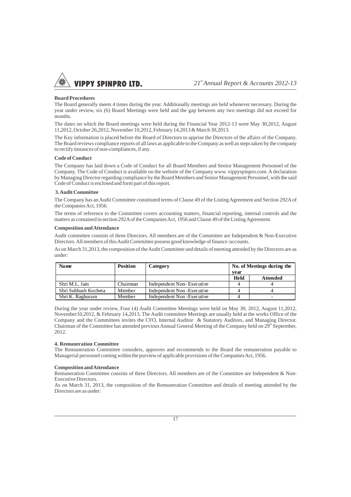

#### **Board Procedures**

The Board generally meets 4 times during the year. Additionally meetings are held whenever necessary. During the year under review, six (6) Board Meetings were held and the gap between any two meetings did not exceed for months.

The dates on which the Board meetings were held during the Financial Year 2012-13 were May 30,2012, August 11,2012, October 26,2012, November 10,2012, February 14,2013 & March 30,2013.

The Key information is placed before the Board of Directors to apprise the Directors of the affairs of the Company. The Board reviews compliance reports of all laws as applicable to the Company as well as steps taken by the company to rectify instances of non-compliances, if any.

#### **Code of Conduct**

The Company has laid down a Code of Conduct for all Board Members and Senior Management Personnel of the Company. The Code of Conduct is available on the website of the Company www. vippyspinpro.com. A declaration by Managing Director regarding compliance by the Board Members and Senior Management Personnel, with the said Code of Conduct is enclosed and form part of this report.

#### **3. Audit Committee**

The Company has an Audit Committee constituted terms of Clause 49 of the Listing Agreement and Section 292Aof the Companies Act, 1956.

The terms of reference to the Committee covers accounting matters, financial reporting, internal controls and the matters as contained in section 292Aof the Companies Act, 1956 and Clause 49 of the Listing Agreement.

#### **Composition and Attendance**

Audit committee consists of three Directors. All members are of the Committee are Independent & Non-Executive Directors. All members of this Audit Committee possess good knowledge of finance /accounts.

As on March 31,2013, the composition of the Audit Committee and details of meeting attended by the Directors are as under:

| <b>Name</b>          | <b>Position</b> | Category                    | No. of Meetings during the<br>vear |                 |
|----------------------|-----------------|-----------------------------|------------------------------------|-----------------|
|                      |                 |                             | Held                               | <b>Attended</b> |
| Shri M.L. Jain       | Chairman        | Independent Non-Executive   |                                    |                 |
| Shri Subhash Kocheta | Member          | Independent Non - Executive |                                    |                 |
| Shri K. Raghuram     | Member          | Independent Non - Executive |                                    | -               |

During the year under review, Four (4) Audit Committee Meetings were held on May 30, 2012, August 11,2012, November10,2012, & February 14,2013. The Audit committee Meetings are usually held at the works Office of the Company and the Committees invites the CFO, Internal Auditor & Statutory Auditors, and Managing Director. Chairman of the Committee has attended previous Annual General Meeting of the Company held on 29<sup>th</sup> September, 2012.

#### **4. Remuneration Committee**

The Remuneration Committee considers, approves and recommends to the Board the remuneration payable to Managerial personnel coming within the purview of applicable provisions of the Companies Act, 1956.

#### **Composition and Attendance**

Remuneration Committee consists of three Directors. All members are of the Committee are Independent & Non-Executive Directors.

As on March 31, 2013, the composition of the Remuneration Committee and details of meeting attended by the Directors are as under: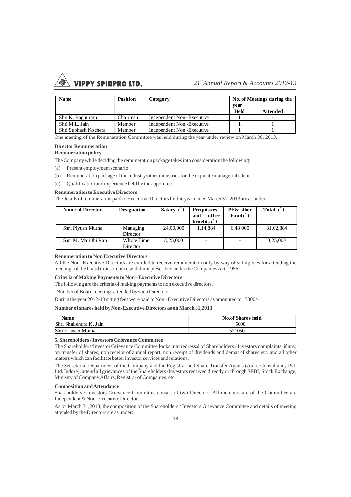

# *st 21 Annual Report & Accounts 2012-13*

| <b>Name</b>          | <b>Position</b> | Category                    | vear | No. of Meetings during the |
|----------------------|-----------------|-----------------------------|------|----------------------------|
|                      |                 |                             | Held | <b>Attended</b>            |
| Shri K. Raghuram     | Chairman        | Independent Non-Executive   |      | -                          |
| Shri M.L. Jain       | Member          | Independent Non - Executive |      |                            |
| Shri Subhash Kocheta | Member          | Independent Non - Executive |      |                            |

One meeting of the Remuneration Committee was held during the year under review on March 30, 2013.

# **Director Remuneration**

# **Remuneration policy**

The Company while deciding the remuneration package takes into consideration the following:

- (a) Present employment scenario
- (b) Remuneration package of the industry/other industries for the requisite managerial talent.
- (c) Qualification and experience held by the appointee.

# **Remuneration to Executive Directors**

The details of remuneration paid to Executive Directors for the year ended March 31, 2013 are as under.

| <b>Name of Director</b> | <b>Designation</b> | Salary $\binom{3}{2}$ | <b>Perquisites</b> | PF & other | Total $\binom{ }{ }$ |
|-------------------------|--------------------|-----------------------|--------------------|------------|----------------------|
|                         |                    |                       | and<br>other       | Fund $( )$ |                      |
|                         |                    |                       | benefits $( )$     |            |                      |
| Shri Piyush Mutha       | Managing           | 24,00,000             | 1,14,884           | 6,48,000   | 31,62,884            |
|                         | Director           |                       |                    |            |                      |
| Shri M. Maruthi Rao     | Whole Time         | 3,25,000              |                    |            | 3,25,000             |
|                         | Director           |                       |                    |            |                      |

# **Remuneration to Non Executive Directors**

All the Non- Executive Directors are entitled to receive remuneration only by way of sitting fees for attending the meetings of the board in accordance with limit prescribed under the Companies Act, 1956.

# **Criteria of Making Payments to Non –Executive Directors**

The following are the criteria of making payments to non executive directors.

-Number of Board meetings attended by such Directors.

During the year 2012-13 sitting fees were paid to Non –Executive Directors as amounted to `5000/-

# **Number of shares held by Non-Executive Directors as on March 31,2013**

| <b>Name</b>                   | <b>No.of Shares held</b> |
|-------------------------------|--------------------------|
| Shri<br>Shailendra K.<br>Jain | 5000                     |
| Shri<br>Praneet Mutha         | 521050                   |

# **5. Shareholders / Investors Grievance Committee**

The Shareholders/Investor Grievance Committee looks into redressal of Shareholders / Investors complaints, if any, on transfer of shares, non receipt of annual report, non receipt of dividends and demat of shares etc. and all other matters which can facilitate better investor services and relations.

The Secretarial Department of the Company and the Registrar and Share Transfer Agents (Ankit Consultancy Pvt. Ltd. Indore), attend all grievances of the Shareholders /Investors received directly or through SEBI, Stock Exchange, Ministry of Company Affairs, Registrar of Companies, etc.

# **Composition and Attendance**

Shareholders / Investors Grievance Committee consist of two Directors. All members are of the Committee are Independent & Non- Executive Director.

As on March 31,2013, the composition of the Shareholders / Investors Grievance Committee and details of meeting attended by the Directors are as under: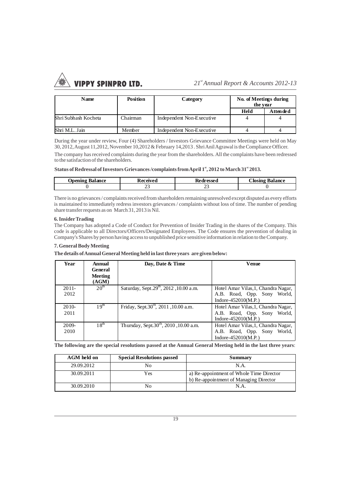

*st 21 Annual Report & Accounts 2012-13*

| Name                 | <b>Position</b> | Category                  | No. of Meetings during<br>the vear |          |
|----------------------|-----------------|---------------------------|------------------------------------|----------|
|                      |                 |                           | Held                               | Attended |
| Shri Subhash Kocheta | Chairman        | Independent Non-Executive |                                    |          |
| Shri M.L. Jain       | Member          | Independent Non-Executive |                                    |          |

During the year under review, Four (4) Shareholders / Investors Grievance Committee Meetings were held on May 30, 2012, August 11,2012, November 10,2012 & February 14,2013 . Shri Anil Agrawal is the Compliance Officer.

The company has received complaints during the year from the shareholders. All the complaints have been redressed to the satisfaction of the shareholders.

**st st Status of Redressal of Investors Grievances /complaints from April 1 , 2012 to March 31 2013.**

| $\sim$ $\sim$<br>lon oo | 0.000000000 | м<br>жu | $\gamma$ login.<br>ance<br>Uw |
|-------------------------|-------------|---------|-------------------------------|
|                         | ∼.<br>ت     |         |                               |

There is no grievances / complaints received from shareholders remaining unresolved except disputed as every efforts is maintained to immediately redress investors grievances / complaints without loss of time. The number of pending share transfer requests as on March 31, 2013 is Nil.

# **6. InsiderTrading**

The Company has adopted a Code of Conduct for Prevention of Insider Trading in the shares of the Company. This code is applicable to all Directors/Officers/Designated Employees. The Code ensures the prevention of dealing in Company's Shares by person having access to unpublished price sensitive information in relation to the Company.

# **7. General Body Meeting**

**The details of Annual General Meeting held in last three years are given below:**

| Year             | Annual<br>General<br>Meeting<br>(AGM) | Day, Date & Time                                   | Venue                                                                                           |
|------------------|---------------------------------------|----------------------------------------------------|-------------------------------------------------------------------------------------------------|
| $2011 -$<br>2012 | $20^{th}$                             | Saturday, Sept.29 <sup>th</sup> , 2012, 10.00 a.m. | Hotel Amar Vilas, 1, Chandra Nagar,<br>A.B. Road, Opp. Sony World,<br>Indore- $452010(M.P.)$    |
| $2010-$<br>2011  | 19 <sup>th</sup>                      | Friday, Sept.30 <sup>th</sup> , 2011, 10.00 a.m.   | Hotel Amar Vilas, 1, Chandra Nagar,<br>A.B. Road, Opp. Sony World,<br>Indore- $452010(M.P.)$    |
| 2009-<br>2010    | $18^{th}$                             | Thursday, Sept.30 <sup>th</sup> , 2010, 10.00 a.m. | Hotel Amar Vilas, 1, Chandra Nagar,<br>A.B. Road, Opp. Sony<br>World.<br>Indore- $452010(M.P.)$ |

**The following are the special resolutions passed at the Annual General Meeting held in the last three years**:

| <b>AGM</b> held on | <b>Special Resolutions passed</b> | Summary                                                                            |
|--------------------|-----------------------------------|------------------------------------------------------------------------------------|
| 29.09.2012         | No                                | N.A.                                                                               |
| 30.09.2011         | <b>Yes</b>                        | a) Re-appointment of Whole Time Director<br>b) Re-appointment of Managing Director |
| 30.09.2010         | Nο                                | N.A                                                                                |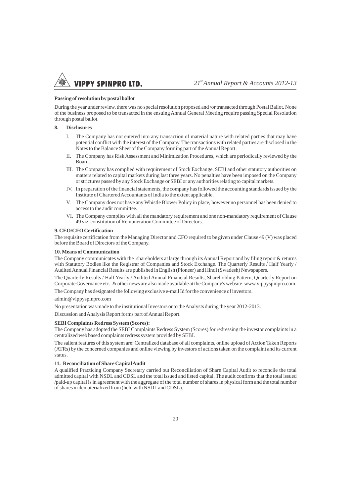

# **Passing of resolution by postal ballot**

During the year under review, there was no special resolution proposed and /or transacted through Postal Ballot. None of the business proposed to be transacted in the ensuing Annual General Meeting require passing Special Resolution through postal ballot.

### **8. Disclosures**

- I. The Company has not entered into any transaction of material nature with related parties that may have potential conflict with the interest of the Company. The transactions with related parties are disclosed in the Notes to the Balance Sheet of the Company forming part of the Annual Report.
- II. The Company has Risk Assessment and Minimization Procedures, which are periodically reviewed by the Board.
- III. The Company has complied with requirement of Stock Exchange, SEBI and other statutory authorities on matters related to capital markets during last three years. No penalties have been imposed on the Company or strictures passed by any Stock Exchange or SEBI or any authorities relating to capital markets.
- IV. In preparation of the financial statements, the company has followed the accounting standards issued by the Institute of Chartered Accountants of India to the extent applicable.
- V. The Company does not have any Whistle Blower Policy in place, however no personnel has been denied to access to the audit committee.
- VI. The Company complies with all the mandatory requirement and one non-mandatory requirement of Clause 49 viz. constitution of Remuneration Committee of Directors.

# **9. CEO/CFO Certification**

The requisite certification from the Managing Director and CFO required to be given under Clause 49 (V) was placed before the Board of Directors of the Company.

#### **10. Means of Communication**

The Company communicates with the shareholders at large through its Annual Report and by filing report & returns with Statutory Bodies like the Registrar of Companies and Stock Exchange. The Quarterly Results / Half Yearly / Audited Annual Financial Results are published in English (Pioneer) and Hindi (Swadesh) Newspapers.

The Quarterly Results / Half Yearly / Audited Annual Financial Results, Shareholding Pattern, Quarterly Report on Corporate Governance etc. & other news are also made available at the Company's website www.vippyspinpro.com.

The Company has designated the following exclusive e-mail Id for the convenience of investors.

#### admin@vippyspinpro.com

No presentation was made to the institutional Investors or to the Analysts during the year 2012-2013.

Discussion and Analysis Report forms part of Annual Report.

#### **SEBI Complaints Redress System (Scores):**

The Company has adopted the SEBI Complaints Redress System (Scores) for redressing the investor complaints in a centralized web based complaints redress system provided by SEBI.

The salient features of this system are: Centralized database of all complaints, online upload of Action Taken Reports (ATRs) by the concerned companies and online viewing by investors of actions taken on the complaint and its current status.

#### **11. Reconciliation of Share Capital Audit**

A qualified Practicing Company Secretary carried out Reconciliation of Share Capital Audit to reconcile the total admitted capital with NSDL and CDSL and the total issued and listed capital. The audit confirms that the total issued /paid-up capital is in agreement with the aggregate of the total number of shares in physical form and the total number of shares in dematerialized from (held with NSDLand CDSL).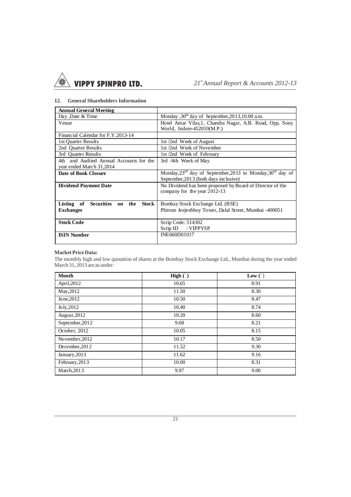

# **12. General Shareholders Information**

| <b>Annual General Meeting</b>                                |                                                                                    |  |
|--------------------------------------------------------------|------------------------------------------------------------------------------------|--|
| Day , Date & Time                                            | Monday $0.30^{\text{th}}$ day of September, 2013, 10.00 a.m.                       |  |
| Venue                                                        | Hotel Amar Vilas, 1, Chandra Nagar, A.B. Road, Opp. Sony                           |  |
|                                                              | World, Indore-452010(M.P.)                                                         |  |
| Financial Calendar for F.Y.2013-14                           |                                                                                    |  |
| 1st Ouarter Results                                          | 1st/2nd Week of August                                                             |  |
| 2nd Ouarter Results                                          | 1st/2nd Week of November                                                           |  |
| 3rd Ouarter Results                                          | 1st/2nd Week of February                                                           |  |
| 4th and Audited Annual Accounts for the                      | 3rd /4th Week of May                                                               |  |
| year ended March 31,2014                                     |                                                                                    |  |
| Date of Book Closure                                         | Monday, $23^{\text{rd}}$ day of September, 2013 to Monday, $30^{\text{th}}$ day of |  |
|                                                              | September, 2013 (both days inclusive)                                              |  |
| <b>Dividend Payment Date</b>                                 | No Dividend has been proposed by Board of Director of the                          |  |
|                                                              | company for the year 2012-13                                                       |  |
|                                                              |                                                                                    |  |
| Listing of<br><b>Securities</b><br><b>Stock</b><br>the<br>on | Bombay Stock Exchange Ltd. (BSE)                                                   |  |
| <b>Exchanges</b>                                             | Phiroze Jeejeebhoy Tower, Dalal Street, Mumbai -400051                             |  |
|                                                              |                                                                                    |  |
| <b>Stock Code</b>                                            | Scrip Code: 514302                                                                 |  |
|                                                              | Scrip ID : VIPPYSP                                                                 |  |
| <b>ISIN Number</b>                                           | INE660D01017                                                                       |  |
|                                                              |                                                                                    |  |

# **Market Price Data:**

The monthly high and low quotation of shares at the Bombay Stock Exchange Ltd., Mumbai during the year ended March 31, 2013 are as under:

| <b>Month</b>    | High $( )$ | Low $\binom{1}{k}$ |
|-----------------|------------|--------------------|
| April, 2012     | 10.65      | 8.91               |
| May, 2012       | 11.50      | 8.30               |
| June, 2012      | 10.50      | 8.47               |
| July, 2012      | 10.40      | 8.74               |
| August, 2012    | 10.20      | 8.60               |
| September, 2012 | 9.68       | 8.21               |
| October, 2012   | 10.05      | 8.15               |
| November, 2012  | 10.17      | 8.50               |
| December, 2012  | 11.52      | 9.30               |
| January, 2013   | 11.62      | 9.16               |
| February, 2013  | 10.00      | 8.31               |
| March, 2013     | 9.97       | 9.00               |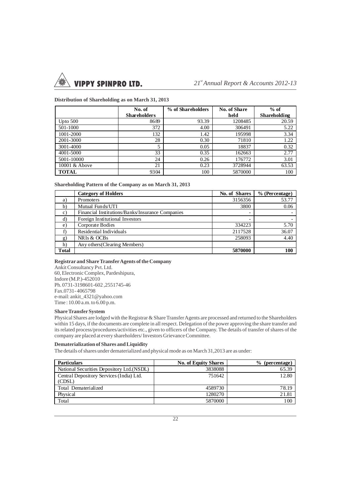

# **Distribution of Shareholding as on March 31, 2013**

|               | No. of              | % of Shareholders | <b>No. of Share</b> | $%$ of              |
|---------------|---------------------|-------------------|---------------------|---------------------|
|               | <b>Shareholders</b> |                   | held                | <b>Shareholding</b> |
| Up to $500$   | 8689                | 93.39             | 1208485             | 20.59               |
| 501-1000      | 372                 | 4.00              | 306491              | 5.22                |
| 1001-2000     | 132                 | 1.42              | 195998              | 3.34                |
| 2001-3000     | 28                  | 0.30              | 71810               | 1.22                |
| 3001-4000     | 5                   | 0.05              | 18837               | 0.32                |
| 4001-5000     | 33                  | 0.35              | 162663              | 2.77                |
| 5001-10000    | 24                  | 0.26              | 176772              | 3.01                |
| 10001 & Above | 21                  | 0.23              | 3728944             | 63.53               |
| <b>TOTAL</b>  | 9304                | 100               | 5870000             | 100                 |

# **Shareholding Pattern of the Company as on March 31, 2013**

|               | <b>Category of Holders</b>                       | No. of Shares            | % (Percentage) |
|---------------|--------------------------------------------------|--------------------------|----------------|
| a)            | Promoters                                        | 3156356                  | 53.77          |
| h)            | Mutual Funds/UTI                                 | 3800                     | 0.06           |
| $\mathcal{C}$ | Financial Institutions/Banks/Insurance Companies | $\overline{\phantom{0}}$ |                |
| d)            | Foreign Institutional Investors                  |                          |                |
| e)            | Corporate Bodies                                 | 334223                   | 5.70           |
|               | Residential Individuals                          | 2117528                  | 36.07          |
| g)            | NRIs & OCBs                                      | 258093                   | 4.40           |
| h)            | Any others (Clearing Members)                    |                          |                |
| <b>Total</b>  |                                                  | 5870000                  | <b>100</b>     |

#### **Registrar and Share TransferAgents of the Company**

Ankit Consultancy Pvt. Ltd. 60, Electronic Complex, Pardeshipura, Indore (M.P.)-452010 Ph. 0731-3198601-602 ,2551745-46 Fax.0731- 4065798 e-mail: ankit\_4321@yahoo.com Time : 10.00 a.m. to 6.00 p.m.

#### **Share TransferSystem**

Physical Shares are lodged with the Registrar & Share Transfer Agents are processed and returned to the Shareholders within 15 days, if the documents are complete in all respect. Delegation of the power approving the share transfer and its related process/procedures/activities etc., given to officers of the Company. The details of transfer of shares of the company are placed at every shareholders/ Investors Grievance Committee.

# **Dematerialization of Shares and Liquidity**

The details of shares under dematerialized and physical mode as on March 31,2013 are as under:

| <b>Particulars</b>                         | <b>No. of Equity Shares</b> | $%$ (percentage) |
|--------------------------------------------|-----------------------------|------------------|
| National Securities Depository Ltd. (NSDL) | 3838088                     | 65.39            |
| Central Depository Services (India) Ltd.   | 751642                      | 12.80            |
| (CDSL)                                     |                             |                  |
| Total Dematerialized                       | 4589730                     | 78.19            |
| Physical                                   | 1280270                     | 21.81            |
| Total                                      | 5870000                     | 100              |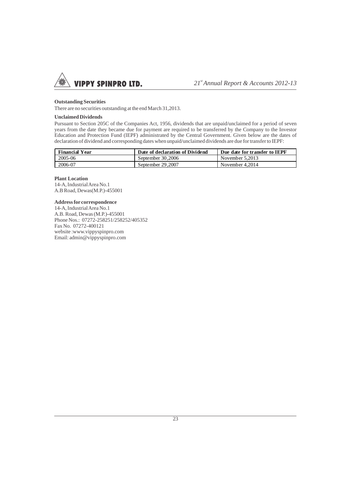

# **Outstanding Securities**

There are no securities outstanding at the end March 31,2013.

#### **Unclaimed Dividends**

Pursuant to Section 205C of the Companies Act, 1956, dividends that are unpaid/unclaimed for a period of seven years from the date they became due for payment are required to be transferred by the Company to the Investor Education and Protection Fund (IEPF) administrated by the Central Government. Given below are the dates of declaration of dividend and corresponding dates when unpaid/unclaimed dividends are due for transfer to IEPF:

| <b>Financial Year</b> | Date of declaration of Dividend | Due date for transfer to IEPF |
|-----------------------|---------------------------------|-------------------------------|
| 2005-06               | September 30,2006               | November $5.2013$             |
| 2006-07               | September 29, 2007              | November 4.2014               |

#### **Plant Location**

14-A, Industrial Area No.1 A.B Road, Dewas(M.P.)-455001

# **Address for correspondence**

14-A, Industrial Area No.1 A.B. Road, Dewas (M.P.)-455001 Phone Nos.: 07272-258251/258252/405352 Fax No. 07272-400121 website :www.vippyspinpro.com Email: admin@vippyspinpro.com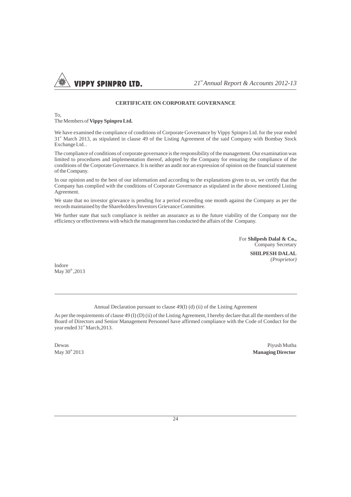

## **CERTIFICATE ON CORPORATE GOVERNANCE**

To, The Members of **Vippy Spinpro Ltd.**

We have examined the compliance of conditions of Corporate Governance by Vippy Spinpro Ltd. for the year ended 31<sup>st</sup> March 2013, as stipulated in clause 49 of the Listing Agreement of the said Company with Bombay Stock Exchange Ltd. .

The compliance of conditions of corporate governance is the responsibility of the management. Our examination was limited to procedures and implementation thereof, adopted by the Company for ensuring the compliance of the conditions of the Corporate Governance. It is neither an audit nor an expression of opinion on the financial statement of the Company.

In our opinion and to the best of our information and according to the explanations given to us, we certify that the Company has complied with the conditions of Corporate Governance as stipulated in the above mentioned Listing Agreement.

We state that no investor grievance is pending for a period exceeding one month against the Company as per the records maintained by the Shareholders/Investors Grievance Committee.

We further state that such compliance is neither an assurance as to the future viability of the Company nor the efficiency or effectiveness with which the management has conducted the affairs of the Company.

> For **Shilpesh Dalal & Co.,** Company Secretary

**SHILPESH DALAL** *(Proprietor)* 

Indore  $\text{May } 30^{\text{th}}$ , 2013

Annual Declaration pursuant to clause 49(I) (d) (ii) of the Listing Agreement

As per the requirements of clause 49 (I) (D) (ii) of the Listing Agreement, I hereby declare that all the members of the Board of Directors and Senior Management Personnel have affirmed compliance with the Code of Conduct for the year ended 31<sup>st</sup> March, 2013.

Dewas Piyush Mutha **the May 30<sup>th</sup> 2013 Managing Director**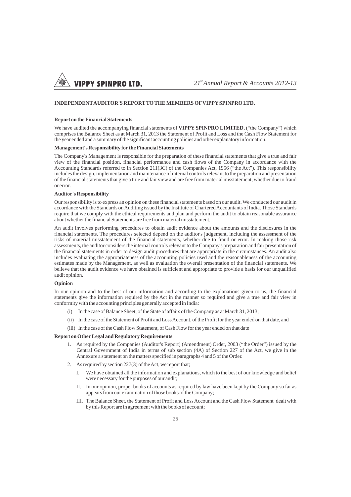

### **INDEPENDENTAUDITOR'S REPORTTO THE MEMBERS OFVIPPYSPINPRO LTD.**

#### **Report on the Financial Statements**

We have audited the accompanying financial statements of **VIPPY SPINPRO LIMITED**, ("the Company") which comprises the Balance Sheet as at March 31, 2013 the Statement of Profit and Loss and the Cash Flow Statement for the year ended and a summary of the significant accounting policies and other explanatory information.

#### **Management's Responsibility for the Financial Statements**

The Company's Management is responsible for the preparation of these financial statements that give a true and fair view of the financial position, financial performance and cash flows of the Company in accordance with the Accounting Standards referred to in Section 211(3C) of the Companies Act, 1956 ("the Act"). This responsibility includes the design, implementation and maintenance of internal controls relevant to the preparation and presentation of the financial statements that give a true and fair view and are free from material misstatement, whether due to fraud or error.

#### **Auditor's Responsibility**

Our responsibility is to express an opinion on these financial statements based on our audit. We conducted our audit in accordance with the Standards on Auditing issued by the Institute of Chartered Accountants of India. Those Standards require that we comply with the ethical requirements and plan and perform the audit to obtain reasonable assurance about whether the financial Statements are free from material misstatement.

An audit involves performing procedures to obtain audit evidence about the amounts and the disclosures in the financial statements. The procedures selected depend on the auditor's judgement, including the assessment of the risks of material misstatement of the financial statements, whether due to fraud or error. In making those risk assessments, the auditor considers the internal controls relevant to the Company's preparation and fair presentation of the financial statements in order to design audit procedures that are appropriate in the circumstances. An audit also includes evaluating the appropriateness of the accounting policies used and the reasonableness of the accounting estimates made by the Management, as well as evaluation the overall presentation of the financial statements. We believe that the audit evidence we have obtained is sufficient and appropriate to provide a basis for our unqualified audit opinion.

### **Opinion**

In our opinion and to the best of our information and according to the explanations given to us, the financial statements give the information required by the Act in the manner so required and give a true and fair view in conformity with the accounting principles generally accepted in India:

- (i) In the case of Balance Sheet, of the State of affairs of the Company as at March 31, 2013;
- (ii) In the case of the Statement of Profit and Loss Account, of the Profit for the year ended on that date, and
- (iii) In the case of the Cash Flow Statement, of Cash Flow for the year ended on that date

#### **Report on OtherLegal and Regulatory Requirements**

- 1. As required by the Companies (Auditor's Report) (Amendment) Order, 2003 ("the Order") issued by the Central Government of India in terms of sub section (4A) of Section 227 of the Act, we give in the Annexure a statement on the matters specified in paragraphs 4 and 5 of the Order.
- 2. As required by section 227(3) of the Act, we report that;
	- I. We have obtained all the information and explanations, which to the best of our knowledge and belief were necessary for the purposes of our audit;
	- II. In our opinion, proper books of accounts as required by law have been kept by the Company so far as appears from our examination of those books of the Company;
	- III. The Balance Sheet, the Statement of Profit and Loss Account and the Cash Flow Statement dealt with by this Report are in agreement with the books of account;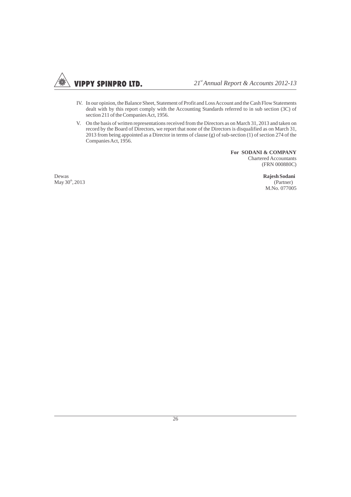

- IV. In our opinion, the Balance Sheet, Statement of Profit and Loss Account and the Cash Flow Statements dealt with by this report comply with the Accounting Standards referred to in sub section (3C) of section 211 of the Companies Act, 1956.
- V. On the basis of written representations received from the Directors as on March 31, 2013 and taken on record by the Board of Directors, we report that none of the Directors is disqualified as on March 31, 2013 from being appointed as a Director in terms of clause (g) of sub-section (1) of section 274 of the Companies Act, 1956.

**For SODANI & COMPANY** Chartered Accountants (FRN 000880C)

 $May 30<sup>th</sup>, 2013$ 

Dewas **Rajesh Sodani**  M.No. 077005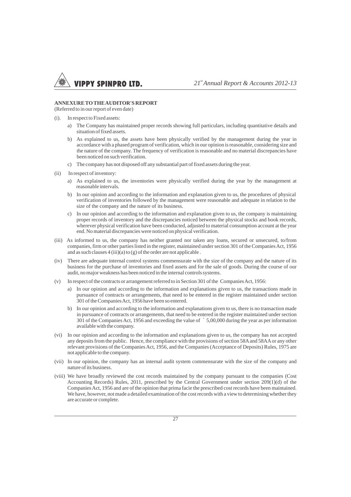

# **ANNEXURE TO THE AUDITOR'S REPORT**

(Referred to in our report of even date)

- (i). In respect to Fixed assets:
	- a) The Company has maintained proper records showing full particulars, including quantitative details and situation of fixed assets.
	- b) As explained to us, the assets have been physically verified by the management during the year in accordance with a phased program of verification, which in our opinion is reasonable, considering size and the nature of the company. The frequency of verification is reasonable and no material discrepancies have been noticed on such verification.
	- c) The company has not disposed off any substantial part of fixed assets during the year.
- (ii) In respect of inventory:
	- a) As explained to us, the inventories were physically verified during the year by the management at reasonable intervals.
	- b) In our opinion and according to the information and explanation given to us, the procedures of physical verification of inventories followed by the management were reasonable and adequate in relation to the size of the company and the nature of its business.
	- c) In our opinion and according to the information and explanation given to us, the company is maintaining proper records of inventory and the discrepancies noticed between the physical stocks and book records, wherever physical verification have been conducted, adjusted to material consumption account at the year end. No material discrepancies were noticed on physical verification.
- (iii) As informed to us, the company has neither granted nor taken any loans, secured or unsecured, to/from companies, firm or other parties listed in the register, maintained under section 301 of the Companies Act, 1956 and as such clauses 4 (iii)(a) to (g) of the order are not applicable .
- (iv) There are adequate internal control systems commensurate with the size of the company and the nature of its business for the purchase of inventories and fixed assets and for the sale of goods. During the course of our audit, no major weakness has been noticed in the internal controls systems.
- (v) In respect of the contracts or arrangement referred to in Section 301 of the Companies Act, 1956:
	- a) In our opinion and according to the information and explanations given to us, the transactions made in pursuance of contracts or arrangements, that need to be entered in the register maintained under section 301 of the Companies Act, 1956 have been so entered.
	- b) In our opinion and according to the information and explanations given to us, there is no transaction made in pursuance of contracts or arrangements, that need to be entered in the register maintained under section 301 of the Companies Act, 1956 and exceeding the value of ` 5,00,000 during the year as per information available with the company.
- (vi) In our opinion and according to the information and explanations given to us, the company has not accepted any deposits from the public. Hence, the compliance with the provisions of section 58Aand 58AAor any other relevant provisions of the Companies Act, 1956, and the Companies (Acceptance of Deposits) Rules, 1975 are not applicable to the company.
- (vii) In our opinion, the company has an internal audit system commensurate with the size of the company and nature of its business.
- (viii) We have broadly reviewed the cost records maintained by the company pursuant to the companies (Cost Accounting Records) Rules, 2011, prescribed by the Central Government under section 209(1)(d) of the Companies Act, 1956 and are of the opinion that prima facie the prescribed cost records have been maintained. We have, however, not made a detailed examination of the cost records with a view to determining whether they are accurate or complete.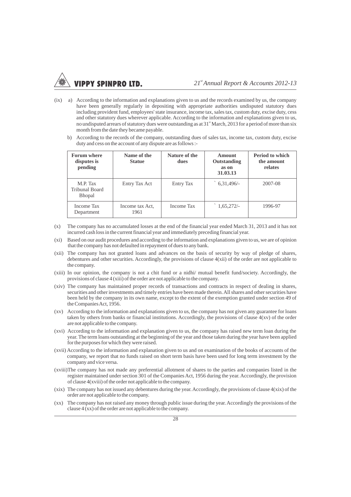

- (ix) a) According to the information and explanations given to us and the records examined by us, the company have been generally regularly in depositing with appropriate authorities undisputed statutory dues including provident fund, employees' state insurance, income tax, sales tax, custom duty, excise duty, cess and other statutory dues wherever applicable. According to the information and explanations given to us, no undisputed arrears of statutory dues were outstanding as at 31<sup>st</sup> March, 2013 for a period of more than six month from the date they became payable.
	- b) According to the records of the company, outstanding dues of sales tax, income tax, custom duty, excise duty and cess on the account of any dispute are as follows :-

| <b>Forum where</b><br>disputes is<br>pending | Name of the<br><b>Statue</b> | Nature of the<br>dues | <b>Amount</b><br>Outstanding<br>as on<br>31.03.13 | Period to which<br>the amount<br>relates |
|----------------------------------------------|------------------------------|-----------------------|---------------------------------------------------|------------------------------------------|
| M.P. Tax<br>Tribunal Board<br><b>Bhopal</b>  | Entry Tax Act                | Entry Tax             | $6,31,496/-$                                      | 2007-08                                  |
| Income Tax<br>Department                     | Income tax Act,<br>1961      | Income Tax            | $\degree$ 1.65.272/-                              | 1996-97                                  |

- (x) The company has no accumulated losses at the end of the financial year ended March 31, 2013 and it has not incurred cash loss in the current financial year and immediately preceding financial year.
- (xi) Based on our audit procedures and according to the information and explanations given to us, we are of opinion that the company has not defaulted in repayment of dues to any bank.
- (xii) The company has not granted loans and advances on the basis of security by way of pledge of shares, debentures and other securities. Accordingly, the provisions of clause 4(xii) of the order are not applicable to the company.
- (xiii) In our opinion, the company is not a chit fund or a nidhi/ mutual benefit fund/society. Accordingly, the provisions of clause 4 (xiii) of the order are not applicable to the company.
- (xiv) The company has maintained proper records of transactions and contracts in respect of dealing in shares, securities and other investments and timely entries have been made therein. All shares and other securities have been held by the company in its own name, except to the extent of the exemption granted under section 49 of the Companies Act, 1956.
- (xv) According to the information and explanations given to us, the company has not given any guarantee for loans taken by others from banks or financial institutions. Accordingly, the provisions of clause 4(xv) of the order are not applicable to the company.
- (xvi) According to the information and explanation given to us, the company has raised new term loan during the year. The term loans outstanding at the beginning of the year and those taken during the year have been applied for the purposes for which they were raised.
- (xvii) According to the information and explanation given to us and on examination of the books of accounts of the company, we report that no funds raised on short term basis have been used for long term investment by the company and vice versa.
- (xviii)The company has not made any preferential allotment of shares to the parties and companies listed in the register maintained under section 301 of the Companies Act, 1956 during the year. Accordingly, the provision of clause 4(xviii) of the order not applicable to the company.
- (xix) The company has not issued any debentures during the year. Accordingly, the provisions of clause 4(xix) of the order are not applicable to the company.
- (xx) The company has not raised any money through public issue during the year. Accordingly the provisions of the clause 4 (xx) of the order are not applicable to the company.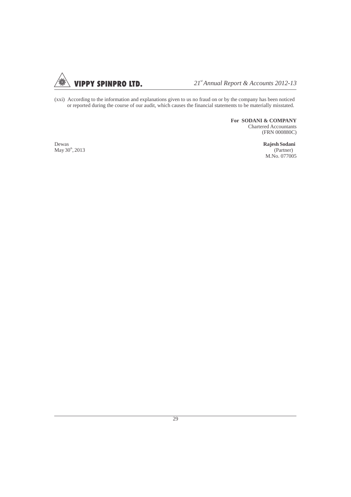

*st 21 Annual Report & Accounts 2012-13*

(xxi) According to the information and explanations given to us no fraud on or by the company has been noticed or reported during the course of our audit, which causes the financial statements to be materially misstated.

**For SODANI & COMPANY**

Chartered Accountants (FRN 000880C)

 $May 30<sup>th</sup>, 2013$ 

Dewas **Rajesh Sodani**  M.No. 077005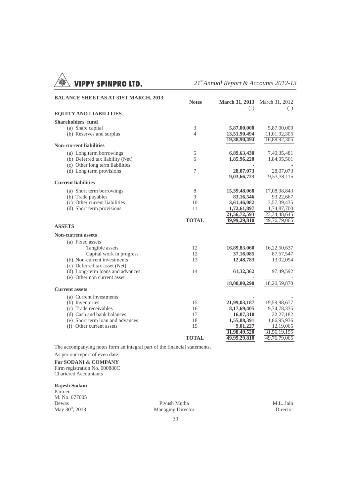

| <b>BALANCE SHEET AS AT 31ST MARCH, 2013</b>                  |                |                               |                          |
|--------------------------------------------------------------|----------------|-------------------------------|--------------------------|
|                                                              | <b>Notes</b>   | March 31, 2013 March 31, 2012 |                          |
| <b>EQUITY AND LIABILITIES</b>                                |                | $($ )                         | $($ )                    |
| <b>Shareholders' fund</b>                                    |                |                               |                          |
| (a) Share capital                                            | 3              | 5,87,00,000                   | 5,87,00,000              |
| (b) Reserves and surplus                                     | $\overline{4}$ | 13,51,90,494                  | 11,01,92,305             |
|                                                              |                | 19,38,90,494                  | 16,88,92,305             |
| <b>Non-current liabilities</b>                               |                |                               |                          |
| (a) Long term borrowings                                     | 5              | 6,89,63,430                   | 7,40,35,481              |
| (b) Deferred tax liability (Net)                             | 6              | 1,85,96,220                   | 1,84,95,561              |
| (c) Other long term liabilities                              |                |                               |                          |
| (d) Long term provisions                                     | 7              | 28,07,073                     | 28,07,073                |
|                                                              |                | 9,03,66,723                   | 9,53,38,115              |
| <b>Current liabilities</b>                                   |                |                               |                          |
| (a) Short term borrowings                                    | 8              | 15,39,48,068                  | 17,08,98,843             |
| (b) Trade payables                                           | 9              | 83,16,546                     | 93,22,667                |
| (c) Other current liabilities                                | 10             | 3,61,46,082                   | 3,57,39,435              |
| (d) Short term provisions                                    | 11             | 1,72,61,897                   | 1,74,87,700              |
|                                                              |                | 21,56,72,593                  | 23, 34, 48, 645          |
|                                                              | <b>TOTAL</b>   | 49,99,29,810                  | 49,76,79,065             |
| <b>ASSETS</b>                                                |                |                               |                          |
| <b>Non-current assets</b>                                    |                |                               |                          |
| (a) Fixed assets                                             |                |                               |                          |
| Tangible assets                                              | 12             | 16,89,83,060                  | 16,22,50,637             |
| Capital work in progress                                     | 12             | 37,16,085                     | 87, 57, 547              |
| (b) Non-current investments                                  | 13             | 12,48,783                     | 13,02,094                |
| (c) Deferred tax asset (Net)                                 |                |                               |                          |
| (d) Long-term loans and advances                             | 14             | 61,32,362                     | 97,49,592                |
| (e) Other non current asset                                  |                |                               |                          |
| <b>Current assets</b>                                        |                | 18,00,80,290                  | 18,20,59,870             |
|                                                              |                |                               |                          |
| (a) Current investments                                      |                |                               |                          |
| (b) Inventories                                              | 15             | 21,99,03,187                  | 19,59,98,677             |
| (c) Trade receivables                                        | 16             | 8,17,69,405                   | 9,74,78,335              |
| (d) Cash and bank balances                                   | 17             | 16,87,310                     | 22, 27, 182              |
| (e) Short term loan and advances<br>(f) Other current assets | 18<br>19       | 1,55,88,391<br>9,01,227       | 1,86,95,936<br>12,19,065 |
|                                                              |                | 31,98,49,520                  | 31,56,19,195             |
|                                                              | <b>TOTAL</b>   | 49,99,29,810                  | 49,76,79,065             |
|                                                              |                |                               |                          |

The accompanying notes form an integral part of the financial statements.

As per our report of even date.

**For SODANI & COMPANY** Firm registration No. 000880C Chartered Accountants

# **Rajesh Sodani** Partner M. No. 077005 Dewas Piyush Mutha M.L. Jain<br>May 30<sup>th</sup>, 2013 Managing Director Director Director Managing Director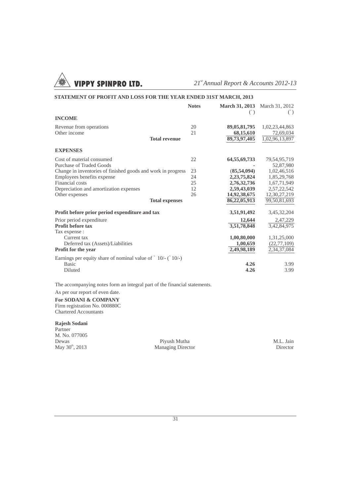

# **STATEMENT OF PROFIT AND LOSS FOR THE YEAR ENDED 31ST MARCH, 2013**

|                                                                                | <b>Notes</b> |                 | <b>March 31, 2013</b> March 31, 2012 |
|--------------------------------------------------------------------------------|--------------|-----------------|--------------------------------------|
| <b>INCOME</b>                                                                  |              | $($ )           | $($ )                                |
| Revenue from operations                                                        | 20           | 89, 05, 81, 795 | 1,02,23,44,863                       |
| Other income                                                                   | 21           | 68,15,610       | 72,69,034                            |
| <b>Total revenue</b>                                                           |              | 89,73,97,405    | 1,02,96,13,897                       |
| <b>EXPENSES</b>                                                                |              |                 |                                      |
| Cost of material consumed                                                      | 22           | 64, 55, 69, 733 | 79, 54, 95, 719                      |
| Purchase of Traded Goods                                                       |              |                 | 52,87,980                            |
| Change in inventories of finished goods and work in progress                   | 23           | (85, 54, 094)   | 1,02,46,516                          |
| Employees benefits expense                                                     | 24           | 2, 23, 75, 824  | 1,85,29,768                          |
| Financial costs                                                                | 25           | 2,76,32,736     | 1,67,71,949                          |
| Depreciation and amortization expenses                                         | 12           | 2,59,43,039     | 2,57,22,542                          |
| Other expenses                                                                 | 26           | 14,92,38,675    | 12,30,27,219                         |
| <b>Total expenses</b>                                                          |              | 86,22,05,913    | 99,50,81,693                         |
| Profit before prior period expenditure and tax                                 |              | 3,51,91,492     | 3,45,32,204                          |
| Prior period expenditure                                                       |              | 12,644          | 2,47,229                             |
| Profit before tax                                                              |              | 3,51,78,848     | 3,42,84,975                          |
| Tax expense :<br>Current tax                                                   |              | 1,00,80,000     | 1,31,25,000                          |
| Deferred tax (Assets)/Liabilities                                              |              | 1,00,659        | (22, 77, 109)                        |
| Profit for the year                                                            |              | 2,49,98,189     | 2,34,37,084                          |
| Earnings per equity share of nominal value of $\degree$ 10/- ( $\degree$ 10/-) |              |                 |                                      |
| <b>Basic</b>                                                                   |              | 4.26            | 3.99                                 |
| Diluted                                                                        |              | 4.26            | 3.99                                 |

The accompanying notes form an integral part of the financial statements.

As per our report of even date.

**For SODANI & COMPANY** Firm registration No. 000880C Chartered Accountants

# **Rajesh Sodani** Partner M. No. 077005

Dewas Piyush Mutha M.L. Jain<br>May 30<sup>th</sup>, 2013 Managing Director Managing Director Director Managing Director Director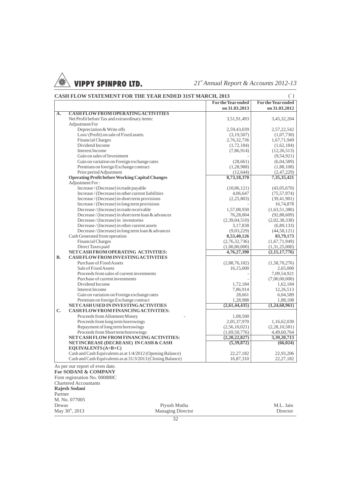$\hat{\mathscr{B}}$  vippy spinpro LTD.

*st 21 Annual Report & Accounts 2012-13*

|           | <b>CASH FLOW STATEMENT FOR THE YEAR ENDED 31ST MARCH, 2013</b> |                           | $($ )                     |
|-----------|----------------------------------------------------------------|---------------------------|---------------------------|
|           |                                                                | <b>For the Year ended</b> | <b>For the Year ended</b> |
|           |                                                                | on 31.03.2013             | on 31.03.2012             |
| A.        | <b>CASH FLOW FROM OPERATING ACTIVITIES</b>                     |                           |                           |
|           | Net Profit before Tax and extraordinary items:                 | 3,51,91,493               | 3,45,32,204               |
|           | Adjustment For                                                 |                           |                           |
|           | Depreciation & Write offs                                      | 2,59,43,039               | 2,57,22,542               |
|           | Loss/(Profit) on sale of Fixed assets                          | (3,19,507)                | (1,07,730)                |
|           | <b>Financial Charges</b>                                       | 2,76,32,736               | 1,67,71,949               |
|           | Dividend Income                                                | (1,72,184)                | (1,62,184)                |
|           | <b>Interest Income</b>                                         | (7,86,914)                | (12, 26, 513)             |
|           | Gain on sales of Investment                                    |                           | (9, 54, 921)              |
|           | Gain on variation on Foreign exchange rates                    | (28,661)                  | (6,04,589)                |
|           | Premium on foreign Exchange contract                           | (1,28,988)                | (1,88,108)                |
|           | Prior period Adjustment                                        | (12, 644)                 | (2,47,229)                |
|           | <b>Operating Profit before Working Capital Changes</b>         | 8,73,18,370               | 7,35,35,421               |
|           | Adjustment For:                                                |                           |                           |
|           | Increase / (Decrease) in trade payable                         | (10,06,121)               | (43,05,670)               |
|           | Increase / (Decrease) in other current liabilities             | 4,06,647                  | (75, 57, 974)             |
|           | Increase / (Decrease) in short term provisions                 | (2,25,803)                | (39, 41, 901)             |
|           | Increase / (Decrease) in long term provisions                  |                           | 16,74,878                 |
|           | Decrease / (Increase) in trade receivable                      | 1,57,08,930               | (1,63,51,380)             |
|           | Decrease/(Increase) in short term loan & advances              | 76,28,004                 | (92, 88, 609)             |
|           | Decrease/(Increase) in inventories                             | (2,39,04,510)             | (2,02,38,338)             |
|           | Decrease / (Increase) in other current assets                  | 3,17,838                  | (6,89,133)                |
|           | Decrease/(Increase) in long term loan & advances               | (9,03,229)                | (44, 58, 121)             |
|           | Cash Generated from operation                                  | 8,53,40,126               | 83,79,173                 |
|           | <b>Financial Charges</b>                                       | (2,76,32,736)             | (1,67,71,949)             |
|           | Direct Taxes paid                                              | (1,00,80,000)             | (1,31,25,000)             |
|           | NET CASH FROM OPERATING ACTIVITIES:                            | 4,76,27,390               | (2,15,17,776)             |
| <b>B.</b> | <b>CASH FLOW FROM INVESTING ACTIVITIES</b>                     |                           |                           |
|           | Purchase of Fixed Assets                                       | (2,88,76,182)             | (1,58,70,276)             |
|           | Sale of Fixed Assets                                           | 16,15,000                 | 2,65,000                  |
|           | Proceeds from sales of current investments                     |                           | 7,09,54,921               |
|           | Purchase of current investments                                |                           | (7,00,00,000)             |
|           | Dividend Income                                                | 1,72,184                  | 1,62,184                  |
|           | Interest Income                                                | 7,86,914                  | 12,26,513                 |
|           | Gain on variation on Foreign exchange rates                    | 28,661                    | 6,04,589                  |
|           | Premium on foreign Exchange contract                           | 1,28,988                  | 1,88,108                  |
|           | NET CASH USED IN INVESTING ACTIVITIES                          | (2,61,44,435)             | (1,24,68,961)             |
| C.        | CASH FLOW FROM FINANCING ACTIVITIES:                           |                           |                           |
|           | Proceeds from Allotment Money                                  | 1,08,500                  |                           |
|           | Proceeds from long term borrowings                             | 2,05,37,970               | 1,16,62,030               |
|           | Repayment of long term borrowings                              | (2,56,10,021)             | (2, 28, 10, 581)          |
|           | Proceeds from Short term borrowings                            | (1,69,50,776)             | 4,49,60,764               |
|           | NET CASH FLOW FROM FINANCING ACTIVITIES:                       | (2,20,22,827)             | 3,39,20,713               |
|           | NET INCREASE (DECREASE) IN CASH & CASH                         | (5,39,872)                | (66, 024)                 |
|           | EQUIVALENTS $(A+B+C)$                                          |                           |                           |
|           | Cash and Cash Equivalents as at 1/4/2012 (Opening Balance)     | 22, 27, 182               | 22,93,206                 |
|           | Cash and Cash Equivalents as at 31/3/2013 (Closing Balance)    | 16,87,310                 | 22, 27, 182               |
|           | As per our report of even date.                                |                           |                           |
|           | For SODANI & COMPANY                                           |                           |                           |
|           | Firm registration No. 000880C                                  |                           |                           |
|           |                                                                |                           |                           |
|           | <b>Chartered Accountants</b>                                   |                           |                           |
|           | <b>Rajesh Sodani</b>                                           |                           |                           |
| Partner   |                                                                |                           |                           |
|           | M. No. 077005                                                  |                           |                           |

Dewas<br>May  $30^{\text{th}}$ , 2013 Dewas Piyush Mutha M.L. Jain  $\text{May } 30^{\text{th}}$ , 2013 Managing Director Director Director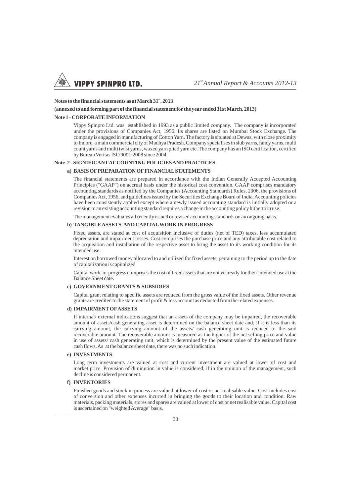

### **st Notes to the financial statements as at March 31 , 2013**

#### **(annexed to and forming part of the financial statement for the year ended 31st March, 2013)**

#### **Note 1 - CORPORATE INFORMATION**

Vippy Spinpro Ltd. was established in 1993 as a public limited company. The company is incorporated under the provisions of Companies Act, 1956. Its shares are listed on Mumbai Stock Exchange. The company is engaged in manufacturing of Cotton Yarn. The factory is situated at Dewas, with close proximity to Indore, a main commercial city of Madhya Pradesh. Company specialises in slub yarns, fancy yarns, multi count yarns and multi twist yarns, waxed yarn plied yarn etc. The company has an ISO certification, certified by Bureau Veritas ISO 9001:2008 since 2004.

#### **Note 2 - SIGNIFICANTACCOUNTING POLICIES AND PRACTICES**

#### **a) BASIS OFPREPARATION OFFINANCIALSTATEMENTS**

The financial statements are prepared in accordance with the Indian Generally Accepted Accounting Principles ("GAAP") on accrual basis under the historical cost convention. GAAP comprises mandatory accounting standards as notified by the Companies (Accounting Standards) Rules, 2006, the provisions of Companies Act, 1956, and guidelines issued by the Securities Exchange Board of India. Accounting policies have been consistently applied except where a newly issued accounting standard is initially adopted or a revision to an existing accounting standard requires a change in the accounting policy hitherto in use.

The management evaluates all recently issued or revised accounting standards on an ongoing basis.

# **b) TANGIBLE ASSETS AND CAPITALWORK IN PROGRESS**

Fixed assets, are stated at cost of acquisition inclusive of duties (net of TED) taxes, less accumulated depreciation and impairment losses. Cost comprises the purchase price and any attributable cost related to the acquisition and installation of the respective asset to bring the asset to its working condition for its intended use.

Interest on borrowed money allocated to and utilized for fixed assets, pertaining to the period up to the date of capitalization is capitalized.

Capital work-in-progress comprises the cost of fixed assets that are not yet ready for their intended use at the Balance Sheet date.

#### **c) GOVERNMENTGRANTS & SUBSIDIES**

Capital grant relating to specific assets are reduced from the gross value of the fixed assets. Other revenue grants are credited to the statement of profit & loss account as deducted from the related expenses.

#### **d) IMPAIRMENTOFASSETS**

If internal/ external indications suggest that an assets of the company may be impaired, the recoverable amount of assets/cash generating asset is determined on the balance sheet date and; if it is less than its carrying amount, the carrying amount of the assets/ cash generating unit is reduced to the said recoverable amount. The recoverable amount is measured as the higher of the net selling price and value in use of assets/ cash generating unit, which is determined by the present value of the estimated future cash flows. As at the balance sheet date, there was no such indication.

#### **e) INVESTMENTS**

Long term investments are valued at cost and current investment are valued at lower of cost and market price. Provision of diminution in value is considered, if in the opinion of the management, such decline is considered permanent.

#### **f) INVENTORIES**

Finished goods and stock in process are valued at lower of cost or net realisable value. Cost includes cost of conversion and other expenses incurred in bringing the goods to their location and condition. Raw materials, packing materials, stores and spares are valued at lower of cost or net realisable value. Capital cost is ascertained on "weighted Average" basis.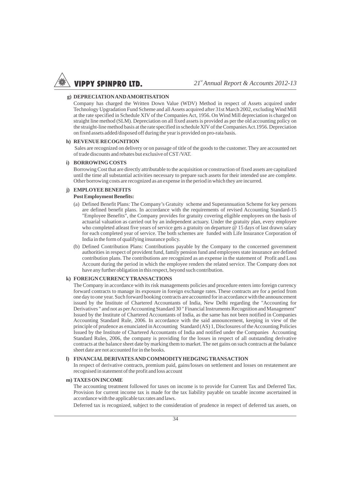

#### **g) DEPRECIATION AND AMORTISATION**

Company has charged the Written Down Value (WDV) Method in respect of Assets acquired under Technology Upgradation Fund Scheme and all Assets acquired after 31st March 2002, excluding Wind Mill at the rate specified in Schedule XIV of the Companies Act, 1956. On Wind Mill depreciation is charged on straight line method (SLM). Depreciation on all fixed assets is provided as per the old accounting policy on the straight-line method basis at the rate specified in schedule XIV of the Companies Act.1956. Depreciation on fixed assets added/disposed off during the year is provided on pro-rata basis.

#### **h) REVENUE RECOGNITION**

Sales are recognized on delivery or on passage of title of the goods to the customer. They are accounted net of trade discounts and rebates but exclusive of CST/VAT.

#### **i) BORROWING COSTS**

Borrowing Cost that are directly attributable to the acquisition or construction of fixed assets are capitalized until the time all substantial activities necessary to prepare such assets for their intended use are complete. Other borrowing costs are recognized as an expense in the period in which they are incurred.

# **j) EMPLOYEE BENEFITS**

### **Post Employment Benefits:**

- (a) Defined Benefit Plans: The Company's Gratuity scheme and Superannuation Scheme for key persons are defined benefit plans. In accordance with the requirements of revised Accounting Standard-15 "Employee Benefits", the Company provides for gratuity covering eligible employees on the basis of actuarial valuation as carried out by an independent actuary. Under the gratuity plan, every employee who completed atleast five years of service gets a gratuity on departure @ 15 days of last drawn salary for each completed year of service. The both schemes are funded with Life Insurance Corporation of India in the form of qualifying insurance policy.
- (b) Defined Contribution Plans: Contributions payable by the Company to the concerned government authorities in respect of provident fund, family pension fund and employees state insurance are defined contribution plans. The contributions are recognized as an expense in the statement of Profit and Loss Account during the period in which the employee renders the related service. The Company does not have any further obligation in this respect, beyond such contribution.

#### **k) FOREIGN CURRENCYTRANSACTIONS**

The Company in accordance with its risk managements policies and procedure enters into foreign currency forward contracts to manage its exposure in foreign exchange rates. These contracts are for a period from one day to one year. Such forward booking contracts are accounted for in accordance with the announcement issued by the Institute of Chartered Accountants of India, New Delhi regarding the "Accounting for Derivatives " and not as per Accounting Standard 30 " Financial Instruments Recognition and Management" Issued by the Institute of Chartered Accountants of India, as the same has not been notified in Companies Accounting Standard Rule, 2006. In accordance with the said announcement, keeping in view of the principle of prudence as enunciated in Accounting Standard (AS) 1, Disclosures of the Accounting Policies Issued by the Institute of Chartered Accountants of India and notified under the Companies Accounting Standard Rules, 2006, the company is providing for the losses in respect of all outstanding derivative contracts at the balance sheet date by marking them to market. The net gains on such contracts at the balance sheet date are not accounted for in the books.

### **l) FINANCIALDERIVATES AND COMMODITYHEDGING TRANSACTION**

In respect of derivative contracts, premium paid, gains/losses on settlement and losses on restatement are recognised in statement of the profit and loss account

# **m) TAXES ON INCOME**

The accounting treatment followed for taxes on income is to provide for Current Tax and Deferred Tax. Provision for current income tax is made for the tax liability payable on taxable income ascertained in accordance with the applicable tax rates and laws.

Deferred tax is recognized, subject to the consideration of prudence in respect of deferred tax assets, on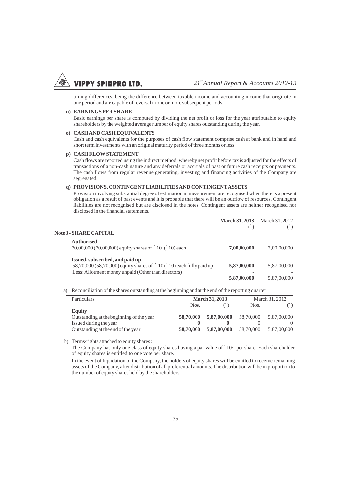

timing differences, being the difference between taxable income and accounting income that originate in one period and are capable of reversal in one or more subsequent periods.

### **n) EARNINGS PER SHARE**

Basic earnings per share is computed by dividing the net profit or loss for the year attributable to equity shareholders by the weighted average number of equity shares outstanding during the year.

# **o) CASH AND CASH EQUIVALENTS**

Cash and cash equivalents for the purposes of cash flow statement comprise cash at bank and in hand and short term investments with an original maturity period of three months or less.

# **p) CASH FLOWSTATEMENT**

Cash flows are reported using the indirect method, whereby net profit before tax is adjusted for the effects of transactions of a non-cash nature and any deferrals or accruals of past or future cash receipts or payments. The cash flows from regular revenue generating, investing and financing activities of the Company are segregated.

# **q) PROVISIONS, CONTINGENTLIABILITIES AND CONTINGENTASSETS**

Provision involving substantial degree of estimation in measurement are recognised when there is a present obligation as a result of past events and it is probable that there will be an outflow of resources. Contingent liabilities are not recognised but are disclosed in the notes. Contingent assets are neither recognised nor disclosed in the financial statements.

|                                                                     | <b>March 31, 2013</b> March 31, 2012 |             |
|---------------------------------------------------------------------|--------------------------------------|-------------|
| <b>Note 3 - SHARE CAPITAL</b>                                       |                                      |             |
| <b>Authorised</b>                                                   |                                      |             |
| 70,00,000 (70,00,000) equity shares of 10 (10) each                 | 7,00,00,000                          | 7,00,00,000 |
| Issued, subscribed, and paid up                                     |                                      |             |
| 58,70,000 (58,70,000) equity shares of `10 (`10) each fully paid up | 5,87,00,000                          | 5,87,00,000 |
| Less: Allotment money unpaid (Other than directors)                 |                                      |             |
|                                                                     | 5,87,00,000                          | 5,87,00,000 |

a) Reconciliation of the shares outstanding at the beginning and at the end of the reporting quarter

| Particulars                              | <b>March 31, 2013</b> |             |           | March 31, 2012 |  |
|------------------------------------------|-----------------------|-------------|-----------|----------------|--|
|                                          | Nos.                  |             | Nos.      |                |  |
| Equity                                   |                       |             |           |                |  |
| Outstanding at the beginning of the year | 58,70,000             | 5,87,00,000 | 58,70,000 | 5.87,00,000    |  |
| Issued during the year                   |                       |             |           |                |  |
| Outstanding at the end of the year       | 58,70,000             | 5,87,00,000 | 58,70,000 | 5,87,00,000    |  |

b) Terms/rights attached to equity shares :

The Company has only one class of equity shares having a par value of `10/- per share. Each shareholder of equity shares is entitled to one vote per share.

In the event of liquidation of the Company, the holders of equity shares will be entitled to receive remaining assets of the Company, after distribution of all preferential amounts. The distribution will be in proportion to the number of equity shares held by the shareholders.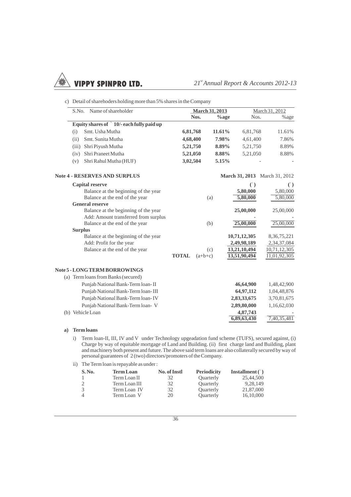

c) Detail of sharehoders holding more than 5% shares in the Company

| Name of shareholder<br>S.No.                                           |              | <b>March 31, 2013</b> |          |                                                     | March 31, 2012                                      |  |
|------------------------------------------------------------------------|--------------|-----------------------|----------|-----------------------------------------------------|-----------------------------------------------------|--|
|                                                                        |              | Nos.                  | $\%$ age | Nos.                                                | %age                                                |  |
| Equity shares of `10/-each fully paid up                               |              |                       |          |                                                     |                                                     |  |
| Smt. Usha Mutha<br>(i)                                                 | 6,81,768     |                       | 11.61%   | 6,81,768                                            | 11.61%                                              |  |
| (ii)<br>Smt. Sunita Mutha                                              | 4,68,400     |                       | 7.98%    | 4,61,400                                            | 7.86%                                               |  |
| Shri Piyush Mutha<br>(iii)                                             | 5,21,750     |                       | 8.89%    | 5,21,750                                            | 8.89%                                               |  |
| Shri Praneet Mutha<br>(iv)                                             | 5,21,050     |                       | 8.88%    | 5,21,050                                            | 8.88%                                               |  |
| Shri Rahul Mutha (HUF)<br>(v)                                          | 3,02,504     |                       | 5.15%    |                                                     |                                                     |  |
| <b>Note 4 - RESERVES AND SURPLUS</b>                                   |              |                       |          |                                                     | March 31, 2013 March 31, 2012                       |  |
| <b>Capital reserve</b>                                                 |              |                       |          | $\left( \begin{matrix} 1 \\ 2 \end{matrix} \right)$ | $\left( \begin{matrix} 1 \\ 2 \end{matrix} \right)$ |  |
| Balance at the beginning of the year                                   |              |                       |          | 5,80,000                                            | 5,80,000                                            |  |
| Balance at the end of the year                                         |              | (a)                   |          | 5,80,000                                            | 5,80,000                                            |  |
| <b>General reserve</b>                                                 |              |                       |          |                                                     |                                                     |  |
| Balance at the beginning of the year                                   |              |                       |          | 25,00,000                                           | 25,00,000                                           |  |
| Add: Amount transferred from surplus<br>Balance at the end of the year |              | (b)                   |          | 25,00,000                                           | 25,00,000                                           |  |
| <b>Surplus</b>                                                         |              |                       |          |                                                     |                                                     |  |
| Balance at the beginning of the year                                   |              |                       |          | 10,71,12,305                                        | 8, 36, 75, 221                                      |  |
| Add: Profit for the year                                               |              |                       |          | 2,49,98,189                                         | 2,34,37,084                                         |  |
| Balance at the end of the year                                         |              | (c)                   |          | 13,21,10,494                                        | 10,71,12,305                                        |  |
|                                                                        | <b>TOTAL</b> | $(a+b+c)$             |          | 13,51,90,494                                        | 11,01,92,305                                        |  |
| Note 5 - LONG TERM BORROWINGS                                          |              |                       |          |                                                     |                                                     |  |
| (a) Term loans from Banks (secured)                                    |              |                       |          |                                                     |                                                     |  |
| Punjab National Bank-Term loan-II                                      |              |                       |          | 46,64,900                                           | 1,48,42,900                                         |  |
| Punjab National Bank-Term loan-III                                     |              |                       |          | 64,97,112                                           | 1,04,48,876                                         |  |
| Punjab National Bank-Term loan-IV                                      |              |                       |          | 2,83,33,675                                         | 3,70,81,675                                         |  |
| Punjab National Bank-Term loan-V                                       |              |                       |          | 2,89,80,000                                         | 1,16,62,030                                         |  |
| (b) Vehicle Loan                                                       |              |                       |          | 4,87,743                                            |                                                     |  |
|                                                                        |              |                       |          | 6,89,63,430                                         | 7,40,35,481                                         |  |

# **a) Term loans**

- i) Term loan-II, III, IV and V under Technology upgeadation fund scheme (TUFS), secured against, (i) Charge by way of equitable mortgage of Land and Building. (ii) first charge land and Building, plant and machinery both present and future. The above said term loans are also collaterally secured by way of personal guarantees of 2 (two) directors/promoters of the Company.
- ii) The Term loan is repayable as under :

| S. No.         | <b>Term Loan</b> | <b>No. of Instl</b> | <b>Periodicity</b> | Installment( |
|----------------|------------------|---------------------|--------------------|--------------|
|                | Term Loan II     | 32                  | <b>Ouarterly</b>   | 25,44,500    |
| 2              | Term Loan III    | 32                  | <b>Ouarterly</b>   | 9.28.149     |
| 3              | Term Loan IV     | 32                  | <b>Ouarterly</b>   | 21,87,000    |
| $\overline{4}$ | Term Loan V      | 20                  | <b>Ouarterly</b>   | 16,10,000    |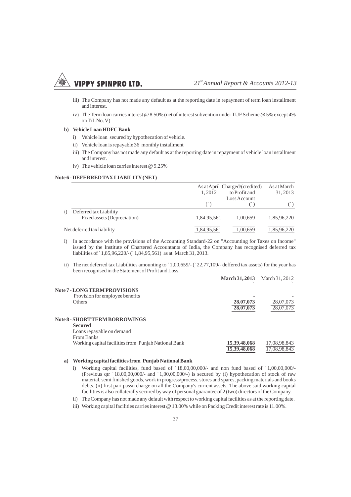

- iii) The Company has not made any default as at the reporting date in repayment of term loan installment and interest.
- iv) The Term loan carries interest @ 8.50% (net of interest subvention under TUF Scheme @ 5% except 4% on T/LNo. V)

# **b) Vehicle Loan HDFC Bank**

- i) Vehicle loan secured by hypothecation of vehicle.
- ii) Vehicle loan is repayable 36 monthly installment
- iii) The Company has not made any default as at the reporting date in repayment of vehicle loan installment and interest.
- iv) The vehicle loan carries interest @ 9.25%

# **Note 6 - DEFERRED TAX LIABILITY(NET)**

|    |                             |             | As at April Charged/(credited) | As at March |
|----|-----------------------------|-------------|--------------------------------|-------------|
|    |                             | 1.2012      | to Profit and                  | 31, 2013    |
|    |                             |             | Loss Account                   |             |
|    |                             |             |                                |             |
| 1) | Deferred tax Liability      |             |                                |             |
|    | Fixed assets (Depreciation) | 1,84,95,561 | 1,00,659                       | 1,85,96,220 |
|    | Net deferred tax liability  | 1,84,95,561 | 1,00,659                       | 1,85,96,220 |

i) In accordance with the provisions of the Accounting Standard-22 on "Accounting for Taxes on Income" issued by the Institute of Chartered Accountants of India, the Company has recognised deferred tax liabilities of `1,85,96,220/- (`1,84,95,561) as at March 31, 2013.

ii) The net deferred tax Liabilities amounting to  $1,00,659/(-22,77,109/$ - deffered tax assets) for the year has been recognised in the Statement of Profit and Loss.

|                                                      | <b>March 31, 2013</b> | March 31, 2012 |
|------------------------------------------------------|-----------------------|----------------|
| Note 7 - LONG TERM PROVISIONS                        |                       |                |
| Provision for employee benefits                      |                       |                |
| <b>Others</b>                                        | 28,07,073             | 28,07,073      |
|                                                      | 28,07,073             | 28,07,073      |
| Note 8 - SHORT TERM BORROWINGS                       |                       |                |
| <b>Secured</b>                                       |                       |                |
| Loans repayable on demand                            |                       |                |
| <b>From Banks</b>                                    |                       |                |
| Working capital facilities from Punjab National Bank | 15,39,48,068          | 17,08,98,843   |
|                                                      | 15,39,48,068          | 17,08,98,843   |
|                                                      |                       |                |

#### **a) Working capital facilities from Punjab National Bank**

- i) Working capital facilities, fund based of `18,00,00,000/- and non fund based of `1,00,00,000/- (Previous qtr `18,00,00,000/- and `1,00,00,000/-) is secured by (i) hypothecation of stock of raw material, semi finished goods, work in progress/process, stores and spares, packing materials and books debts. (ii) first pari passu charge on all the Company's current assets. The above said working capital facilities is also collaterally secured by way of personal guarantee of 2 (two) directors of the Company.
- ii) The Company has not made any default with respect to working capital facilities as at the reporting date.
- iii) Working capital facilities carries interest @ 13.00% while on Packing Credit interest rate is 11.00%.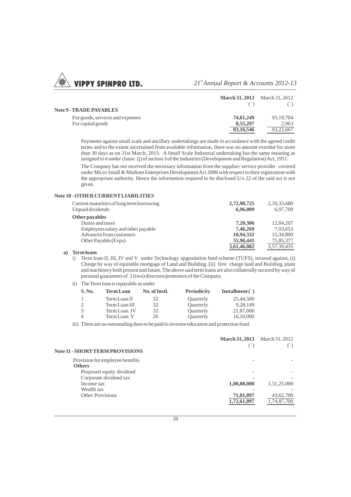

|                                  | <b>March 31, 2013</b> March 31, 2012 |             |
|----------------------------------|--------------------------------------|-------------|
|                                  |                                      |             |
| <b>Note 9 - TRADE PAYABLES</b>   |                                      |             |
| For goods, services and expenses | 74,61,249                            | 93, 19, 704 |
| For capital goods                | 8,55,297                             | 2.963       |
|                                  | 83.16.546                            | 93.22.667   |

Payments against small scale and ancillary undertakings are made in accordance with the agreed credit terms and to the extent ascertained from available information, there was no amount overdue for more than 30 days as on 31st March, 2013. A Small Scale Industrial undertaking has the same meaning as assigned to it under clause (j) of section 3 of the Industries (Development and Regulation) Act, 1951.

The Company has not received the necessary information from the supplier/ service provider covered under Micro Small & Medium Enterprises Development Act 2006 with respect to their registration with the appropriate authority. Hence the information required to be disclosed U/s 22 of the said act is not given.

# **Note 10 - OTHER CURRENTLIABILITIES**

| Current maturities of long term borrowing | 2,72,98,725 | 2,39,33,680 |
|-------------------------------------------|-------------|-------------|
| Unpaid dividends                          | 6,96,009    | 6,97,709    |
| Other payables                            |             |             |
| Duties and taxes                          | 7,20,306    | 12,84,207   |
| Employees salary and other payable        | 7,46,269    | 7,03,653    |
| Advances from customers                   | 10,94,332   | 15,34,809   |
| Other Payable (Exps)                      | 55,90,441   | 75,85,377   |
|                                           | 3,61,46,082 | 3,57,39,435 |

# **a) Term loans**

i) Term loan-II, III, IV and V under Technology upgeadation fund scheme (TUFS), secured against, (i) Charge by way of equitable mortgage of Land and Building. (ii) first charge land and Building, plant and machinery both present and future. The above said term loans are also collaterally secured by way of personal guarantees of 2 (two) directors/promoters of the Company.

ii) The Term loan is repayable as under

| S. No. | <b>Term Loan</b> | No. of Instl. | <b>Periodicity</b> | Instant(  |
|--------|------------------|---------------|--------------------|-----------|
|        | Term Loan II     | 32            | <b>Ouarterly</b>   | 25,44,500 |
|        | Term Loan III    | 32            | <b>Ouarterly</b>   | 9.28.149  |
|        | Term Loan IV     | 32            | <b>Ouarterly</b>   | 21,87,000 |
|        | Term Loan V      | 20            | <b>Ouarterly</b>   | 16,10,000 |

iii) There are no outstanding dues to be paid to investor education and protection fund.

|                                 | <b>March 31, 2013</b> March 31, 2012 |             |
|---------------------------------|--------------------------------------|-------------|
| Note 11 - SHORT TERM PROVISIONS |                                      |             |
| Provision for employee benefits |                                      |             |
| <b>Others</b>                   |                                      |             |
| Proposed equity dividend        |                                      |             |
| Corporate dividend tax          |                                      |             |
| Income tax                      | 1,00,80,000                          | 1,31,25,000 |
| Wealth tax                      |                                      |             |
| Other Provisions                | 71,81,897                            | 43,62,700   |
|                                 | 1,72,61,897                          | 1,74,87,700 |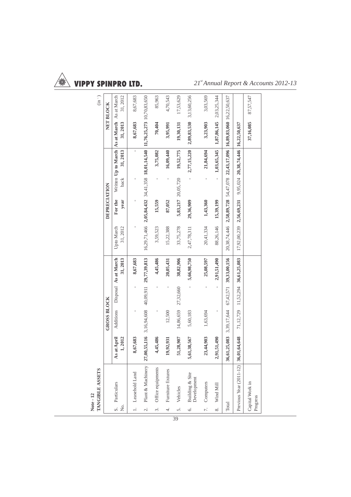

# *st 21 Annual Report & Accounts 2012-13*

| Note - 12           | TANGIBLE ASSETS                |                                                 |                    |           |                                  |                       |                     |              |                                      |                                                                           | $(in^{\cdot})$          |
|---------------------|--------------------------------|-------------------------------------------------|--------------------|-----------|----------------------------------|-----------------------|---------------------|--------------|--------------------------------------|---------------------------------------------------------------------------|-------------------------|
|                     |                                |                                                 | <b>GROSS BLOCK</b> |           |                                  |                       | <b>DEPRECIATION</b> |              |                                      |                                                                           | NET BLOCK               |
| Σó,<br>S            | Particulars                    | As at April<br>1, 2012                          | Additions          |           | Disposal As at March<br>31, 2013 | Upto March<br>31,2012 | For the<br>year     | back         | Written Up to March<br>31, 2013      | As at March<br>31,2013                                                    | 31, 2012<br>As at March |
|                     | Leasehold Land                 | 8,67,683                                        |                    | f,        | 8,67,683                         |                       |                     |              | f,                                   | 8,67,683                                                                  | 8,67,683                |
| $\sim$              | Plant & Machinery              | 27,00,55,116 3,16,94,608 40,09,911 29,77,39,813 |                    |           |                                  |                       |                     |              |                                      | 16,29,71,466 2,05,84,432 34,41,358 18,01,14,540 11,76,25,273 10,70,83,650 |                         |
| $\ddot{\mathrm{c}}$ | Office equipments              | 4,45,486                                        |                    | t         | 4,45,486                         | 3,59,523              | 15,559              | ı            | 3,75,082                             | 70,404                                                                    | 85,963                  |
| $\overline{4}$      | Furniture fixtures             | 19,92,931                                       | 12,500             | ı         | 20,05,431                        | 15,22,388             | 87,052              | ı            | 16,09,440                            | 3,95,991                                                                  | 4,70,543                |
| S.                  | Vehicles                       | 51,28,907                                       | 14,86,659          | 27,32,660 | 38,82,906                        | 33,75,278             | 5,83,217 20,05,720  |              | 19,52,775                            | 19,30,131                                                                 | 17,53,629               |
| Ġ.                  | Building & Site<br>Development | 5,61,38,567                                     | 5,60,183           |           | 5,66,98,750                      | 2,47,78,311           | 29,36,909           |              | 2,77,15,220                          | 2,89,83,530                                                               | 3,13,60,256             |
| 7.                  | Computers                      | 23,44,903                                       | 1,63,694           | Ţ         | 25,08,597                        | 20,41,334             | 1,43,360            | $\mathsf{I}$ | 21,84,694                            | 3,23,903                                                                  | 3,03,569                |
| $\infty$            | Wind Mill                      | 2,91,51,490                                     |                    | ï         | 2,91,51,490                      | 88,26,146             | 15,39,199           | ï            | 1,03,65,345                          | 1,87,86,145                                                               | 2,03,25,344             |
| Total               |                                | 36,61,25,083                                    | 3,39,17,644        | 67,42,571 | 39,33,00,156                     | 20,38,74,446          | 2,58,89,728         | 54,47,078    |                                      | 22,43,17,096 16,89,83,060 16,22,50,637                                    |                         |
|                     | Previous Year (2011-12)        | 36,01,64,648                                    | 71,12,729          | 11,52,294 | 36,61,25,083                     | 17,92,00,239          | 2,56,69,231         |              | $9,95,024$ 20,38,74,446 16,22,50,637 |                                                                           |                         |
| Progress            | Capital Work in                |                                                 |                    |           |                                  |                       |                     |              |                                      | 37,16,085                                                                 | 87,57,547               |
|                     |                                |                                                 |                    |           |                                  |                       |                     |              |                                      |                                                                           |                         |

39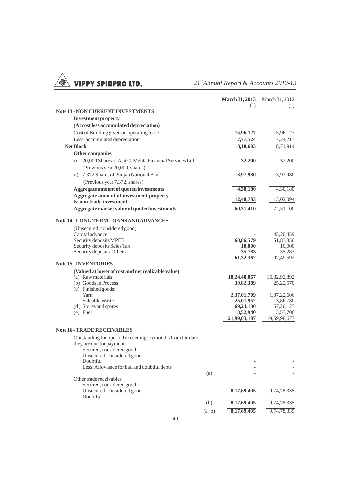

|                                                              |         | March 31, 2013 | March 31, 2012         |
|--------------------------------------------------------------|---------|----------------|------------------------|
|                                                              |         | $($ )          | ( )                    |
| <b>Note 13 - NON CURRENT INVESTMENTS</b>                     |         |                |                        |
| <b>Investment property</b>                                   |         |                |                        |
| (At cost less accumulated depreciation)                      |         |                |                        |
| Cost of Building given on operating lease                    |         | 15,96,127      | 15,96,127              |
| Less: accumulated depreciation                               |         | 7,77,524       | 7,24,213               |
| <b>Net Block</b>                                             |         | 8,18,603       | 8,71,914               |
| Other companies                                              |         |                |                        |
| 20,000 Shares of Asit C. Mehta Financial Services Ltd.<br>i) |         | 32,200         | 32,200                 |
| (Previous year 20,000, shares)                               |         |                |                        |
| ii) 7,372 Shares of Punjab National Bank                     |         | 3,97,980       | 3,97,980               |
| (Previous year 7,372, shares)                                |         |                |                        |
| Aggregate amount of quoted investments                       |         | 4,30,180       | 4,30,180               |
| Aggregate amount of investment property                      |         |                |                        |
| & non trade investment                                       |         | 12,48,783      | 13,02,094              |
| Aggregate market value of quoted investments                 |         | 60,31,410      | 72,51,100              |
| Note 14 - LONG TERM LOANS AND ADVANCES                       |         |                |                        |
|                                                              |         |                |                        |
| (Unsecured, considered good)<br>Capital advance              |         |                |                        |
| Security deposits MPEB                                       |         | 60,86,579      | 45,20,459<br>51,83,850 |
| Security deposits Sales Tax                                  |         | 10,000         | 10,000                 |
| Security deposits Others                                     |         | 35,783         | 35,283                 |
|                                                              |         | 61,32,362      | 97,49,592              |
| <b>Note 15 - INVENTORIES</b>                                 |         |                |                        |
| (Valued at lower of cost and net realizable value)           |         |                |                        |
| (a) Raw materials                                            |         | 18,24,40,067   | 16,82,92,892           |
| (b) Goods in Process<br>(c) Finished goods:                  |         | 39,82,389      | 25, 22, 570            |
| Yarn                                                         |         | 2,37,01,709    | 1,87,22,606            |
| Saleable Waste                                               |         | 25,01,952      | 3,86,780               |
| (d) Stores and spares                                        |         | 69,24,130      | 57, 20, 123            |
| (e) Fuel                                                     |         | 3,52,940       | 3,53,706               |
|                                                              |         | 21,99,03,187   | 19,59,98,677           |
| <b>Note 16 - TRADE RECEIVABLES</b>                           |         |                |                        |
| Outstanding for a period exceeding six months from the date  |         |                |                        |
| they are due for payment                                     |         |                |                        |
| Secured, considered good                                     |         |                |                        |
| Unsecured, considered good                                   |         |                |                        |
| Doubtful                                                     |         |                |                        |
| Less: Allowance for bad and doubtful debts                   |         |                |                        |
| Other trade receivables                                      | (a)     |                |                        |
| Secured, considered good                                     |         |                |                        |
| Unsecured, considered good                                   |         | 8,17,69,405    | 9,74,78,335            |
| Doubtful                                                     |         |                |                        |
|                                                              | (b)     | 8,17,69,405    | 9,74,78,335            |
|                                                              | $(a+b)$ | 8,17,69,405    | 9,74,78,335            |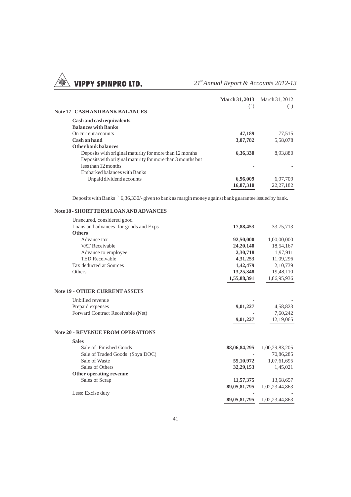

|                                                            | <b>March 31, 2013</b> | March 31, 2012 |
|------------------------------------------------------------|-----------------------|----------------|
|                                                            |                       |                |
| <b>Note 17 - CASHAND BANK BALANCES</b>                     |                       |                |
| Cash and cash equivalents                                  |                       |                |
| <b>Balances with Banks</b>                                 |                       |                |
| On current accounts                                        | 47,189                | 77,515         |
| Cash on hand                                               | 3,07,782              | 5,58,078       |
| Other bank balances                                        |                       |                |
| Deposits with original maturity for more than 12 months    | 6,36,330              | 8,93,880       |
| Deposits with original maturity for more than 3 months but |                       |                |
| less than 12 months                                        |                       |                |
| <b>Embarked balances with Banks</b>                        |                       |                |
| Unpaid dividend accounts                                   | 6,96,009              | 6,97,709       |
|                                                            | 16,87,310             | 22.27.182      |

Deposits with Banks ` 6,36,330/- given to bank as margin money against bank guarantee issued by bank.

# **Note 18 - SHORTTERM LOAN AND ADVANCES**

| Unsecured, considered good               |              |                |
|------------------------------------------|--------------|----------------|
| Loans and advances for goods and Exps    | 17,88,453    | 33,75,713      |
| <b>Others</b>                            |              |                |
| Advance tax                              | 92,50,000    | 1,00,00,000    |
| VAT Receivable                           | 24,20,140    | 18,54,167      |
| Advance to employee                      | 2,30,718     | 1,97,911       |
| <b>TED Receivable</b>                    | 4,31,253     | 11,09,296      |
| Tax deducted at Sources                  | 1,42,479     | 2,10,739       |
| Others                                   | 13,25,348    | 19,48,110      |
|                                          | 1,55,88,391  | 1,86,95,936    |
|                                          |              |                |
| <b>Note 19 - OTHER CURRENT ASSETS</b>    |              |                |
| Unbilled revenue                         |              |                |
| Prepaid expenses                         | 9,01,227     | 4,58,823       |
| Forward Contract Receivable (Net)        |              | 7,60,242       |
|                                          | 9,01,227     | 12,19,065      |
|                                          |              |                |
| <b>Note 20 - REVENUE FROM OPERATIONS</b> |              |                |
| <b>Sales</b>                             |              |                |
| Sale of Finished Goods                   | 88,06,84,295 | 1,00,29,83,205 |
| Sale of Traded Goods (Soya DOC)          |              | 70,86,285      |
| Sale of Waste                            | 55, 10, 972  | 1,07,61,695    |
| Sales of Others                          | 32, 29, 153  | 1,45,021       |
| Other operating revenue                  |              |                |
| Sales of Scrap                           | 11,57,375    | 13,68,657      |
|                                          | 89,05,81,795 | 1,02,23,44,863 |
| Less: Excise duty                        |              |                |
|                                          | 89,05,81,795 | 1.02.23.44.863 |
|                                          |              |                |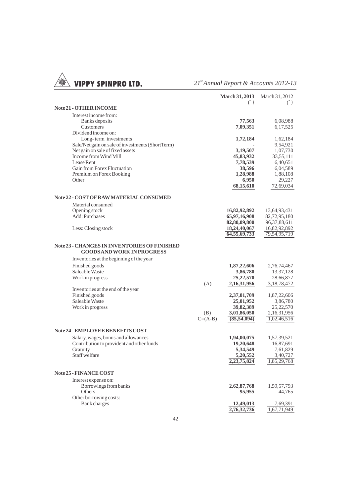

|                                                                                          |           | <b>March 31, 2013</b>                                    | March 31, 2012                                             |
|------------------------------------------------------------------------------------------|-----------|----------------------------------------------------------|------------------------------------------------------------|
| <b>Note 21 - OTHER INCOME</b>                                                            |           | $\left(\begin{matrix} \cdot & \cdot \end{matrix}\right)$ | $\left(\begin{array}{c} \cdot \\ \cdot \end{array}\right)$ |
| Interest income from:                                                                    |           |                                                          |                                                            |
| Banks deposits                                                                           |           | 77,563                                                   | 6,08,988                                                   |
| Customers                                                                                |           | 7,09,351                                                 | 6,17,525                                                   |
| Dividend income on:                                                                      |           |                                                          |                                                            |
| Long-term investments                                                                    |           | 1,72,184                                                 | 1,62,184                                                   |
| Sale/Net gain on sale of investments (ShortTerm)                                         |           |                                                          | 9,54,921                                                   |
| Net gain on sale of fixed assets                                                         |           | 3,19,507                                                 | 1,07,730                                                   |
| Income from Wind Mill                                                                    |           | 45,83,932                                                | 33,55,111                                                  |
| Lease Rent<br>Gain from Forex Fluctuation                                                |           | 7,78,539<br>38,596                                       | 6,40,651<br>6,04,589                                       |
| Premium on Forex Booking                                                                 |           | 1,28,988                                                 | 1,88,108                                                   |
| Other                                                                                    |           | 6,950                                                    | 29,227                                                     |
|                                                                                          |           | 68,15,610                                                | 72,69,034                                                  |
|                                                                                          |           |                                                          |                                                            |
| Note 22 - COST OF RAW MATERIAL CONSUMED                                                  |           |                                                          |                                                            |
| Material consumed                                                                        |           |                                                          |                                                            |
| Opening stock<br>Add: Purchases                                                          |           | 16,82,92,892                                             | 13,64,93,431                                               |
|                                                                                          |           | 65,97,16,908<br>82,80,09,800                             | 82,72,95,180<br>96, 37, 88, 611                            |
| Less: Closing stock                                                                      |           | 18,24,40,067                                             | 16,82,92,892                                               |
|                                                                                          |           | 64,55,69,733                                             | 79,54,95,719                                               |
| <b>Note 23 - CHANGES IN INVENTORIES OF FINISHED</b><br><b>GOODS AND WORK IN PROGRESS</b> |           |                                                          |                                                            |
| Inventories at the beginning of the year                                                 |           |                                                          |                                                            |
| Finished goods                                                                           |           | 1,87,22,606                                              | 2,76,74,467                                                |
| Saleable Waste                                                                           |           | 3,86,780                                                 | 13,37,128                                                  |
| Work in progress                                                                         | (A)       | 25, 22, 570<br>2,16,31,956                               | 28,66,877<br>3,18,78,472                                   |
| Inventories at the end of the year                                                       |           |                                                          |                                                            |
| Finished goods                                                                           |           | 2,37,01,709                                              | 1,87,22,606                                                |
| Saleable Waste                                                                           |           | 25,01,952                                                | 3,86,780                                                   |
| Work in progress                                                                         |           | 39,82,389                                                | 25, 22, 570                                                |
|                                                                                          | (B)       | 3,01,86,050                                              | 2, 16, 31, 956                                             |
|                                                                                          | $C=(A-B)$ | (85, 54, 094)                                            | 1,02,46,516                                                |
| <b>Note 24 - EMPLOYEE BENEFITS COST</b>                                                  |           |                                                          |                                                            |
| Salary, wages, bonus and allowances                                                      |           | 1,94,00,075                                              | 1,57,39,521                                                |
| Contribution to provident and other funds                                                |           | 19,20,648                                                | 16,87,691                                                  |
| Gratuity                                                                                 |           | 5, 34, 549                                               | 7,61,829                                                   |
| Staff welfare                                                                            |           | 5,20,552                                                 | 3,40,727                                                   |
|                                                                                          |           | 2,23,75,824                                              | 1,85,29,768                                                |
| <b>Note 25 - FINANCE COST</b>                                                            |           |                                                          |                                                            |
| Interest expense on:                                                                     |           |                                                          |                                                            |
| Borrowings from banks                                                                    |           | 2,62,87,768                                              | 1,59,57,793                                                |
| Others<br>Other borrowing costs:                                                         |           | 95,955                                                   | 44,765                                                     |
| <b>Bank</b> charges                                                                      |           | 12,49,013                                                | 7,69,391                                                   |
|                                                                                          |           | 2,76,32,736                                              | 1,67,71,949                                                |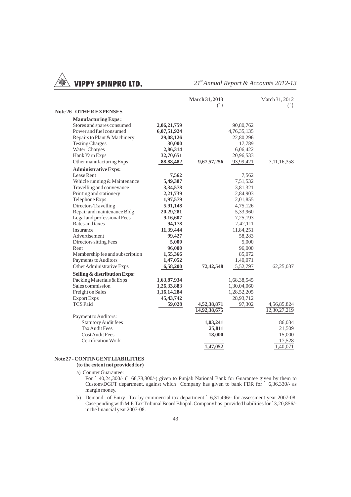

|                                                       |                          | March 31, 2013              |                          | March 31, 2012                                             |
|-------------------------------------------------------|--------------------------|-----------------------------|--------------------------|------------------------------------------------------------|
| <b>Note 26 - OTHER EXPENSES</b>                       |                          | $($ )                       |                          | $\left(\begin{array}{c} \cdot \\ \cdot \end{array}\right)$ |
|                                                       |                          |                             |                          |                                                            |
| <b>Manufacturing Exps:</b>                            |                          |                             |                          |                                                            |
| Stores and spares consumed<br>Power and fuel consumed | 2,06,21,759              |                             | 90,80,762                |                                                            |
| Repairs to Plant & Machinery                          | 6,07,51,924<br>29,08,126 |                             | 4,76,35,135<br>22,80,296 |                                                            |
|                                                       | 30,000                   |                             | 17,789                   |                                                            |
| <b>Testing Charges</b><br>Water Charges               | 2,86,314                 |                             | 6,06,422                 |                                                            |
| Hank Yarn Exps                                        |                          |                             | 20,96,533                |                                                            |
| Other manufacturing Exps                              | 32,70,651                |                             |                          |                                                            |
|                                                       | 88, 88, 482              | 9,67,57,256                 | 93,99,421                | 7, 11, 16, 358                                             |
| <b>Administrative Exps:</b>                           |                          |                             |                          |                                                            |
| Lease Rent                                            | 7,562                    |                             | 7,562                    |                                                            |
| Vehicle running & Maintenance                         | 5,49,387                 |                             | 7,51,532                 |                                                            |
| Travelling and conveyance                             | 3,34,578                 |                             | 3,81,321                 |                                                            |
| Printing and stationery                               | 2,21,739                 |                             | 2,84,903                 |                                                            |
| Telephone Exps                                        | 1,97,579                 |                             | 2,01,855                 |                                                            |
| Directors Travelling<br>Repair and maintenance Bldg   | 5,91,148                 |                             | 4,75,126                 |                                                            |
| Legal and professional Fees                           | 20,29,281                |                             | 5,33,960                 |                                                            |
| Rates and taxes                                       | 9,16,607                 |                             | 7,25,193                 |                                                            |
| Insurance                                             | 94,178<br>11,39,444      |                             | 7,42,111                 |                                                            |
| Advertisement                                         | 99,427                   |                             | 11,84,251<br>58,283      |                                                            |
| Directors sitting Fees                                | 5,000                    |                             | 5,000                    |                                                            |
| Rent                                                  | 96,000                   |                             | 96,000                   |                                                            |
| Membership fee and subscription                       | 1,55,366                 |                             | 85,072                   |                                                            |
| Payments to Auditors                                  | 1,47,052                 |                             | 1,40,071                 |                                                            |
| Other Administrative Exps                             | 6,58,200                 | 72,42,548                   | 5,52,797                 | 62,25,037                                                  |
|                                                       |                          |                             |                          |                                                            |
| Selling & distribution Exps:                          |                          |                             |                          |                                                            |
| Packing Materials & Exps                              | 1,63,87,934              |                             | 1,68,38,545              |                                                            |
| Sales commission                                      | 1,26,33,883              |                             | 1,30,04,060              |                                                            |
| Freight on Sales                                      | 1,16,14,284              |                             | 1,28,52,205              |                                                            |
| <b>Export Exps</b><br><b>TCS Paid</b>                 | 45, 43, 742              |                             | 28,93,712                |                                                            |
|                                                       | 59,028                   | 4,52,38,871<br>14,92,38,675 | 97,302                   | 4,56,85,824<br>12,30,27,219                                |
| Payment to Auditors:                                  |                          |                             |                          |                                                            |
| <b>Statutory Audit fees</b>                           |                          | 1,03,241                    |                          | 86,034                                                     |
| <b>Tax Audit Fees</b>                                 |                          | 25,811                      |                          | 21,509                                                     |
| <b>Cost Audit Fees</b>                                |                          | 18,000                      |                          | 15,000                                                     |
| <b>Certification Work</b>                             |                          |                             |                          | 17,528                                                     |
|                                                       |                          | 1,47,052                    |                          | 1,40,071                                                   |
|                                                       |                          |                             |                          |                                                            |

# **Note 27 - CONTINGENTLIABILITIES (to the extent not provided for)**

a) Counter Guarantee:

For ` 40,24,300/- (` 68,78,800/-) given to Punjab National Bank for Guarantee given by them to Custom/DGFT department. against which Company has given to bank FDR for ` 6,36,330/- as margin money.

b) Demand of Entry Tax by commercial tax department ` 6,31,496/- for assessment year 2007-08. Case pending with M.P. Tax Tribunal Board Bhopal. Company has provided liabilities for `3,20,856/ in the financial year 2007-08.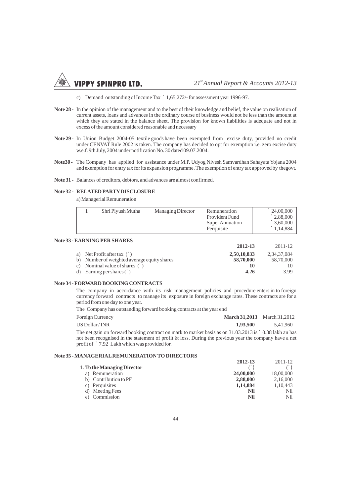

- c) Demand outstanding of Income Tax ` 1,65,272/- for assessment year 1996-97.
- **Note 28 -** In the opinion of the management and to the best of their knowledge and belief, the value on realisation of current assets, loans and advances in the ordinary course of business would not be less than the amount at which they are stated in the balance sheet. The provision for known liabilities is adequate and not in excess of the amount considered reasonable and necessary
- **Note 29 -** In Union Budget 2004-05 textile goods have been exempted from excise duty, provided no credit under CENVAT Rule 2002 is taken. The company has decided to opt for exemption i.e. zero excise duty w.e.f. 9th July, 2004 under notification No. 30 dated 09.07.2004.
- **Note30 -** The Company has applied for assistance under M.P. Udyog Nivesh Samvardhan Sahayata Yojana 2004 and exemption for entry tax for its expansion programme. The exemption of entry tax approved by thegovt.
- **Note 31 -** Balances of creditors, debtors, and advances are almost confirmed.

# **Note 32 - RELATED PARTYDISCLOSURE**

a) Managerial Remuneration

|  |  | Shri Piyush Mutha | <b>Managing Director</b> | Remuneration<br>Provident Fund<br>Super Annuation<br>Perquisite | $\degree$ 24,00,000<br>$^{\degree}$ 2,88,000<br>$\hat{3,60,000}$<br>1,14,884 |
|--|--|-------------------|--------------------------|-----------------------------------------------------------------|------------------------------------------------------------------------------|
|--|--|-------------------|--------------------------|-----------------------------------------------------------------|------------------------------------------------------------------------------|

# **Note 33 - EARNING PER SHARES**

|                                             | 2012-13       | 2011-12     |
|---------------------------------------------|---------------|-------------|
| a) Net Profit after tax $( )$               | 2.50, 10, 833 | 2.34.37.084 |
| b) Number of weighted average equity shares | 58,70,000     | 58,70,000   |
| c) Nominal value of shares $( )$            | 10            | 10          |
| d) Earning per shares $( )$                 | 4.26          | 3.99        |
|                                             |               |             |

### **Note 34 - FORWARD BOOKING CONTRACTS**

The company in accordance with its risk management policies and procedure enters in to foreign currency forward contracts to manage its exposure in foreign exchange rates. These contracts are for a period from one day to one year.

The Company has outstanding forward booking contracts at the year end

| Foreign Currency            | <b>March 31.2013</b> March 31.2012 |                                |
|-----------------------------|------------------------------------|--------------------------------|
| US Dollar / INR             | 1.93.500                           | 5.41.960                       |
| $\mathbf{11}$ $\mathbf{11}$ |                                    | $21.02.2012 \cdot 2.0.20111$ 1 |

The net gain on forward booking contract on mark to market basis as on 31.03.2013 is ` 0.38 lakh an has not been recognised in the statement of profit & loss. During the previous year the company have a net profit of ` 7.92 Lakh which was provided for.

# **Note 35 - MANAGERIALREMUNERATION TO DIRECTORS**

| <u>MAN MASEAMALIALMI (LAMALISTA LO DIALISTAS)</u> |           |           |
|---------------------------------------------------|-----------|-----------|
|                                                   | 2012-13   | 2011-12   |
| 1. To the Managing Director                       |           |           |
| a) Remuneration                                   | 24,00,000 | 18,00,000 |
| b) Contribution to PF                             | 2,88,000  | 2,16,000  |
| c) Perquisites                                    | 1,14,884  | 1,10,443  |
| d) Meeting Fees                                   | Nil       | Nil       |
| Commission<br>e)                                  | Nil       | Nil       |
|                                                   |           |           |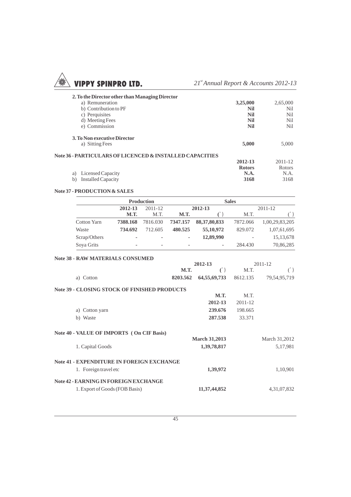

| 2. To the Director other than Managing Director          |               |          |
|----------------------------------------------------------|---------------|----------|
| a) Remuneration                                          | 3,25,000      | 2,65,000 |
| b) Contribution to PF                                    | Nil           | Nil      |
| c) Perquisites                                           | <b>Nil</b>    | Nil      |
| d) Meeting Fees                                          | <b>Nil</b>    | Nil      |
| e) Commission                                            | <b>Nil</b>    | Nil      |
| 3. To Non executive Director                             |               |          |
| a) Sitting Fees                                          | 5,000         | 5,000    |
| Note 36 - PARTICULARS OF LICENCED & INSTALLED CAPACITIES |               |          |
|                                                          | 2012-13       | 2011-12  |
|                                                          | <b>Rotors</b> | Rotors   |
| Licensed Capacity<br>a)                                  | N.A.          | N.A.     |
| <b>Installed Capacity</b><br>$\mathbf{b}$                | 3168          | 3168     |

# **Note 37 - PRODUCTION & SALES**

|                                                     |             | <b>Production</b> |             |                                                            | <b>Sales</b> |                |  |
|-----------------------------------------------------|-------------|-------------------|-------------|------------------------------------------------------------|--------------|----------------|--|
|                                                     | 2012-13     | 2011-12           |             | 2012-13                                                    |              | 2011-12        |  |
|                                                     | <b>M.T.</b> | M.T.              | <b>M.T.</b> |                                                            | M.T.         |                |  |
| <b>Cotton Yarn</b>                                  | 7388.168    | 7816.030          | 7347.157    | 88, 37, 80, 833                                            | 7872.066     | 1,00,29,83,205 |  |
| Waste                                               | 734.692     | 712.605           | 480.525     | 55,10,972                                                  | 829.072      | 1,07,61,695    |  |
| Scrap/Others                                        |             |                   |             | 12,89,990                                                  |              | 15, 13, 678    |  |
| Soya Grits                                          |             |                   |             |                                                            | 284.430      | 70,86,285      |  |
| <b>Note 38 - RAW MATERIALS CONSUMED</b>             |             |                   |             |                                                            |              |                |  |
|                                                     |             |                   |             | 2012-13                                                    |              | 2011-12        |  |
|                                                     |             |                   | <b>M.T.</b> | $\left(\begin{array}{c} \cdot \\ \cdot \end{array}\right)$ | M.T.         | $\binom{1}{k}$ |  |
| a) Cotton                                           |             |                   | 8203.562    | 64, 55, 69, 733                                            | 8612.135     | 79,54,95,719   |  |
| <b>Note 39 - CLOSING STOCK OF FINISHED PRODUCTS</b> |             |                   |             |                                                            |              |                |  |
|                                                     |             |                   |             | <b>M.T.</b>                                                | M.T.         |                |  |
|                                                     |             |                   |             | 2012-13                                                    | 2011-12      |                |  |
| a) Cotton yarn                                      |             |                   |             | 239.676                                                    | 198.665      |                |  |
| b) Waste                                            |             |                   |             | 287.538                                                    | 33.371       |                |  |
| Note 40 - VALUE OF IMPORTS (On CIF Basis)           |             |                   |             |                                                            |              |                |  |
|                                                     |             |                   |             | <b>March 31,2013</b>                                       |              | March 31,2012  |  |
| 1. Capital Goods                                    |             |                   |             | 1,39,78,817                                                |              | 5,17,981       |  |
| <b>Note 41 - EXPENDITURE IN FOREIGN EXCHANGE</b>    |             |                   |             |                                                            |              |                |  |
| 1. Foreign travel etc                               |             |                   |             | 1,39,972                                                   |              | 1,10,901       |  |
| Note 42 - EARNING IN FOREIGN EXCHANGE               |             |                   |             |                                                            |              |                |  |
|                                                     |             |                   |             |                                                            |              |                |  |
| 1. Export of Goods (FOB Basis)                      |             |                   |             | 11,37,44,852                                               |              | 4,31,07,832    |  |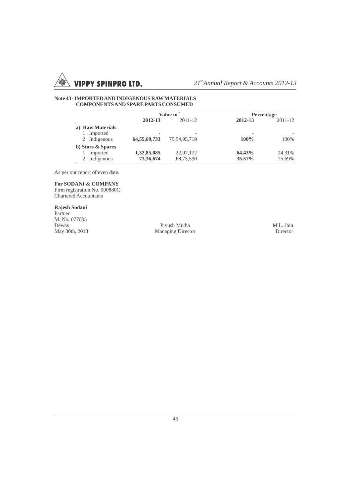

## **Note 43 - IMPORTED AND INDIGENOUS RAWMATERIALS COMPONENTS AND SPARE PARTS CONSUMED**

|                   | Value in                 |                          | <b>Percentage</b>        |         |
|-------------------|--------------------------|--------------------------|--------------------------|---------|
|                   | 2012-13                  | 2011-12                  | 2012-13                  | 2011-12 |
| a) Raw Materials  |                          |                          |                          |         |
| Imported          | $\overline{\phantom{0}}$ | $\overline{\phantom{a}}$ | $\overline{\phantom{a}}$ |         |
| Indigenous        | 64, 55, 69, 733          | 79,54,95,719             | $100\%$                  | 100%    |
| b) Stors & Spares |                          |                          |                          |         |
| Imported          | 1,32,85,085              | 22,07,172                | 64.43%                   | 24.31%  |
| Indigenous        | 73,36,674                | 68,73,590                | $35.57\%$                | 75.69%  |

As per our report of even date.

**For SODANI & COMPANY**

Firm registration No. 000880C Chartered Accountants

# **Rajesh Sodani**

Partner M. No. 077005

Dewas Piyush Mutha M.L. Jain<br>May 30th, 2013 Managing Director Medicines of Medicines Managing Director Director Managing Director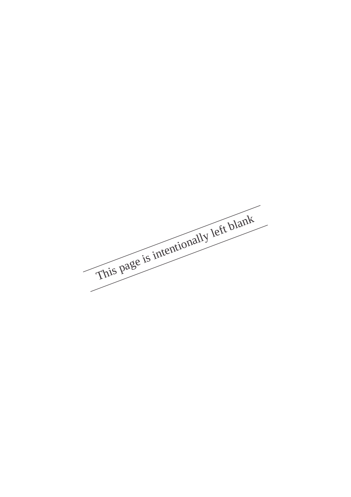This page is intentionally left blank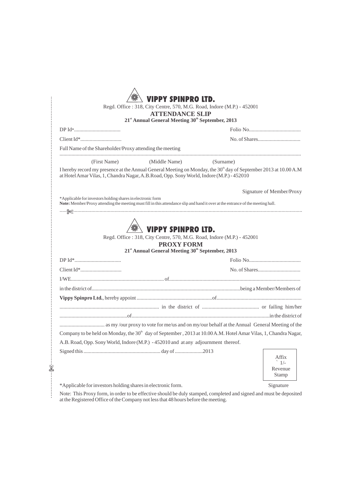|                                                                                                                                                                                                                          | <b>ATTENDANCE SLIP</b><br>21 <sup>st</sup> Annual General Meeting 30 <sup>th</sup> September, 2013 |
|--------------------------------------------------------------------------------------------------------------------------------------------------------------------------------------------------------------------------|----------------------------------------------------------------------------------------------------|
|                                                                                                                                                                                                                          |                                                                                                    |
|                                                                                                                                                                                                                          |                                                                                                    |
| Full Name of the Shareholder/Proxy attending the meeting                                                                                                                                                                 |                                                                                                    |
| (Middle Name)<br>(First Name)                                                                                                                                                                                            | (Surname)                                                                                          |
| I hereby record my presence at the Annual General Meeting on Monday, the 30 <sup>th</sup> day of September 2013 at 10.00 A.M<br>at Hotel Amar Vilas, 1, Chandra Nagar, A.B.Road, Opp. Sony World, Indore (M.P.) - 452010 |                                                                                                    |
|                                                                                                                                                                                                                          | Signature of Member/Proxy                                                                          |
| *Applicable for investors holding shares in electronic form<br>Note: Member/Proxy attending the meeting must fill in this attendance slip and hand it over at the entrance of the meeting hall.                          |                                                                                                    |
|                                                                                                                                                                                                                          |                                                                                                    |
| 21 <sup>st</sup> Annual General Meeting 30 <sup>th</sup> September, 2013                                                                                                                                                 |                                                                                                    |
|                                                                                                                                                                                                                          |                                                                                                    |
|                                                                                                                                                                                                                          |                                                                                                    |
|                                                                                                                                                                                                                          |                                                                                                    |
|                                                                                                                                                                                                                          |                                                                                                    |
|                                                                                                                                                                                                                          |                                                                                                    |
|                                                                                                                                                                                                                          |                                                                                                    |
|                                                                                                                                                                                                                          |                                                                                                    |
|                                                                                                                                                                                                                          |                                                                                                    |
| Company to be held on Monday, the 30 <sup>th</sup> day of September, 2013 at 10.00 A.M. Hotel Amar Vilas, 1, Chandra Nagar,                                                                                              |                                                                                                    |
|                                                                                                                                                                                                                          |                                                                                                    |
|                                                                                                                                                                                                                          | Affix                                                                                              |
| A.B. Road, Opp. Sony World, Indore (M.P.) - 452010 and at any adjournment thereof.                                                                                                                                       | $\degree$ 1/-                                                                                      |
|                                                                                                                                                                                                                          | Revenue<br>Stamp                                                                                   |

Note: This Proxy form, in order to be effective should be duly stamped, completed and signed and must be deposited at the Registered Office of the Company not less that 48 hours before the meeting.